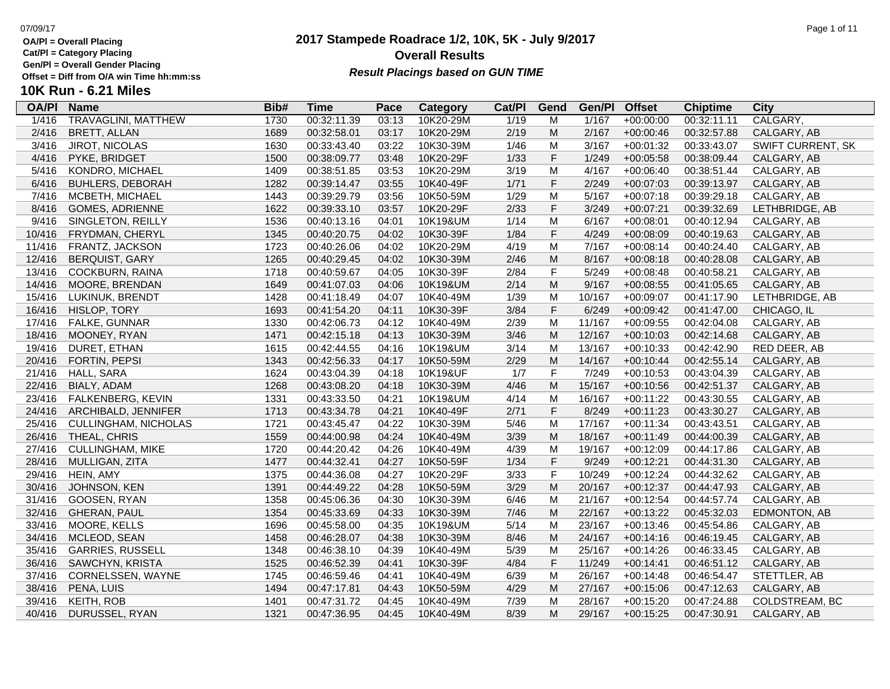**Cat/Pl = Category Placing**

**Gen/Pl = Overall Gender Placing**

### **2017 Stampede Roadrace 1/2, 10K, 5K - July 9/2017** 07/09/17 Page 1 of 11 **Overall Results** Gen/PI = Overall Gender Placing<br>Offset = Diff from O/A win Time hh:mm:ss *Result Placings based on GUN TIME*

| <b>OA/PI</b> | <b>Name</b>                | Bib# | <b>Time</b> | Pace  | Category  | Cat/PI | Gend                                                                                  | Gen/Pl | <b>Offset</b> | <b>Chiptime</b> | <b>City</b>       |
|--------------|----------------------------|------|-------------|-------|-----------|--------|---------------------------------------------------------------------------------------|--------|---------------|-----------------|-------------------|
| 1/416        | <b>TRAVAGLINI, MATTHEW</b> | 1730 | 00:32:11.39 | 03:13 | 10K20-29M | 1/19   | M                                                                                     | 1/167  | $+00:00:00$   | 00:32:11.11     | CALGARY,          |
| 2/416        | <b>BRETT, ALLAN</b>        | 1689 | 00:32:58.01 | 03:17 | 10K20-29M | 2/19   | M                                                                                     | 2/167  | $+00:00:46$   | 00:32:57.88     | CALGARY, AB       |
| 3/416        | <b>JIROT, NICOLAS</b>      | 1630 | 00:33:43.40 | 03:22 | 10K30-39M | 1/46   | M                                                                                     | 3/167  | $+00:01:32$   | 00:33:43.07     | SWIFT CURRENT, SK |
| 4/416        | PYKE, BRIDGET              | 1500 | 00:38:09.77 | 03:48 | 10K20-29F | 1/33   | $\mathsf F$                                                                           | 1/249  | $+00:05:58$   | 00:38:09.44     | CALGARY, AB       |
| 5/416        | KONDRO, MICHAEL            | 1409 | 00:38:51.85 | 03:53 | 10K20-29M | 3/19   | M                                                                                     | 4/167  | $+00:06:40$   | 00:38:51.44     | CALGARY, AB       |
| 6/416        | <b>BUHLERS, DEBORAH</b>    | 1282 | 00:39:14.47 | 03:55 | 10K40-49F | 1/71   | $\mathsf F$                                                                           | 2/249  | $+00:07:03$   | 00:39:13.97     | CALGARY, AB       |
| 7/416        | MCBETH, MICHAEL            | 1443 | 00:39:29.79 | 03:56 | 10K50-59M | 1/29   | M                                                                                     | 5/167  | $+00:07:18$   | 00:39:29.18     | CALGARY, AB       |
| 8/416        | <b>GOMES, ADRIENNE</b>     | 1622 | 00:39:33.10 | 03:57 | 10K20-29F | 2/33   | $\mathsf F$                                                                           | 3/249  | $+00:07:21$   | 00:39:32.69     | LETHBRIDGE, AB    |
| 9/416        | SINGLETON, REILLY          | 1536 | 00:40:13.16 | 04:01 | 10K19&UM  | 1/14   | M                                                                                     | 6/167  | $+00:08:01$   | 00:40:12.94     | CALGARY, AB       |
| 10/416       | FRYDMAN, CHERYL            | 1345 | 00:40:20.75 | 04:02 | 10K30-39F | 1/84   | $\mathsf F$                                                                           | 4/249  | $+00:08:09$   | 00:40:19.63     | CALGARY, AB       |
| 11/416       | FRANTZ, JACKSON            | 1723 | 00:40:26.06 | 04:02 | 10K20-29M | 4/19   | M                                                                                     | 7/167  | $+00:08:14$   | 00:40:24.40     | CALGARY, AB       |
| 12/416       | <b>BERQUIST, GARY</b>      | 1265 | 00:40:29.45 | 04:02 | 10K30-39M | 2/46   | M                                                                                     | 8/167  | $+00:08:18$   | 00:40:28.08     | CALGARY, AB       |
| 13/416       | COCKBURN, RAINA            | 1718 | 00:40:59.67 | 04:05 | 10K30-39F | 2/84   | $\mathsf F$                                                                           | 5/249  | $+00:08:48$   | 00:40:58.21     | CALGARY, AB       |
| 14/416       | MOORE, BRENDAN             | 1649 | 00:41:07.03 | 04:06 | 10K19&UM  | 2/14   | $\mathsf{M}% _{T}=\mathsf{M}_{T}\!\left( a,b\right) ,\ \mathsf{M}_{T}=\mathsf{M}_{T}$ | 9/167  | $+00:08:55$   | 00:41:05.65     | CALGARY, AB       |
| 15/416       | LUKINUK, BRENDT            | 1428 | 00:41:18.49 | 04:07 | 10K40-49M | 1/39   | M                                                                                     | 10/167 | +00:09:07     | 00:41:17.90     | LETHBRIDGE, AB    |
| 16/416       | HISLOP, TORY               | 1693 | 00:41:54.20 | 04:11 | 10K30-39F | 3/84   | $\mathsf F$                                                                           | 6/249  | $+00:09:42$   | 00:41:47.00     | CHICAGO, IL       |
| 17/416       | FALKE, GUNNAR              | 1330 | 00:42:06.73 | 04:12 | 10K40-49M | 2/39   | M                                                                                     | 11/167 | $+00:09:55$   | 00:42:04.08     | CALGARY, AB       |
| 18/416       | MOONEY, RYAN               | 1471 | 00:42:15.18 | 04:13 | 10K30-39M | 3/46   | M                                                                                     | 12/167 | $+00:10:03$   | 00:42:14.68     | CALGARY, AB       |
| 19/416       | DURET, ETHAN               | 1615 | 00:42:44.55 | 04:16 | 10K19&UM  | 3/14   | M                                                                                     | 13/167 | $+00:10:33$   | 00:42:42.90     | RED DEER, AB      |
| 20/416       | FORTIN, PEPSI              | 1343 | 00:42:56.33 | 04:17 | 10K50-59M | 2/29   | ${\sf M}$                                                                             | 14/167 | $+00:10:44$   | 00:42:55.14     | CALGARY, AB       |
| 21/416       | HALL, SARA                 | 1624 | 00:43:04.39 | 04:18 | 10K19&UF  | 1/7    | $\mathsf F$                                                                           | 7/249  | $+00:10:53$   | 00:43:04.39     | CALGARY, AB       |
| 22/416       | BIALY, ADAM                | 1268 | 00:43:08.20 | 04:18 | 10K30-39M | 4/46   | M                                                                                     | 15/167 | $+00:10:56$   | 00:42:51.37     | CALGARY, AB       |
| 23/416       | <b>FALKENBERG, KEVIN</b>   | 1331 | 00:43:33.50 | 04:21 | 10K19&UM  | 4/14   | M                                                                                     | 16/167 | $+00:11:22$   | 00:43:30.55     | CALGARY, AB       |
| 24/416       | ARCHIBALD, JENNIFER        | 1713 | 00:43:34.78 | 04:21 | 10K40-49F | 2/71   | F                                                                                     | 8/249  | $+00:11:23$   | 00:43:30.27     | CALGARY, AB       |
| 25/416       | CULLINGHAM, NICHOLAS       | 1721 | 00:43:45.47 | 04:22 | 10K30-39M | 5/46   | M                                                                                     | 17/167 | $+00:11:34$   | 00:43:43.51     | CALGARY, AB       |
| 26/416       | THEAL, CHRIS               | 1559 | 00:44:00.98 | 04:24 | 10K40-49M | 3/39   | M                                                                                     | 18/167 | $+00:11:49$   | 00:44:00.39     | CALGARY, AB       |
| 27/416       | <b>CULLINGHAM, MIKE</b>    | 1720 | 00:44:20.42 | 04:26 | 10K40-49M | 4/39   | M                                                                                     | 19/167 | $+00:12:09$   | 00:44:17.86     | CALGARY, AB       |
| 28/416       | MULLIGAN, ZITA             | 1477 | 00:44:32.41 | 04:27 | 10K50-59F | 1/34   | $\mathsf F$                                                                           | 9/249  | $+00:12:21$   | 00:44:31.30     | CALGARY, AB       |
| 29/416       | HEIN, AMY                  | 1375 | 00:44:36.08 | 04:27 | 10K20-29F | 3/33   | $\mathsf F$                                                                           | 10/249 | $+00:12:24$   | 00:44:32.62     | CALGARY, AB       |
| 30/416       | JOHNSON, KEN               | 1391 | 00:44:49.22 | 04:28 | 10K50-59M | 3/29   | M                                                                                     | 20/167 | $+00:12:37$   | 00:44:47.93     | CALGARY, AB       |
| 31/416       | GOOSEN, RYAN               | 1358 | 00:45:06.36 | 04:30 | 10K30-39M | 6/46   | M                                                                                     | 21/167 | $+00:12:54$   | 00:44:57.74     | CALGARY, AB       |
| 32/416       | <b>GHERAN, PAUL</b>        | 1354 | 00:45:33.69 | 04:33 | 10K30-39M | 7/46   | M                                                                                     | 22/167 | $+00:13:22$   | 00:45:32.03     | EDMONTON, AB      |
| 33/416       | MOORE, KELLS               | 1696 | 00:45:58.00 | 04:35 | 10K19&UM  | 5/14   | M                                                                                     | 23/167 | $+00:13:46$   | 00:45:54.86     | CALGARY, AB       |
| 34/416       | MCLEOD, SEAN               | 1458 | 00:46:28.07 | 04:38 | 10K30-39M | 8/46   | M                                                                                     | 24/167 | $+00:14:16$   | 00:46:19.45     | CALGARY, AB       |
| 35/416       | <b>GARRIES, RUSSELL</b>    | 1348 | 00:46:38.10 | 04:39 | 10K40-49M | 5/39   | M                                                                                     | 25/167 | $+00:14:26$   | 00:46:33.45     | CALGARY, AB       |
| 36/416       | SAWCHYN, KRISTA            | 1525 | 00:46:52.39 | 04:41 | 10K30-39F | 4/84   | F                                                                                     | 11/249 | $+00:14:41$   | 00:46:51.12     | CALGARY, AB       |
| 37/416       | CORNELSSEN, WAYNE          | 1745 | 00:46:59.46 | 04:41 | 10K40-49M | 6/39   | M                                                                                     | 26/167 | $+00:14:48$   | 00:46:54.47     | STETTLER, AB      |
| 38/416       | PENA, LUIS                 | 1494 | 00:47:17.81 | 04:43 | 10K50-59M | 4/29   | M                                                                                     | 27/167 | $+00:15:06$   | 00:47:12.63     | CALGARY, AB       |
| 39/416       | <b>KEITH, ROB</b>          | 1401 | 00:47:31.72 | 04:45 | 10K40-49M | 7/39   | M                                                                                     | 28/167 | $+00:15:20$   | 00:47:24.88     | COLDSTREAM, BC    |
| 40/416       | DURUSSEL, RYAN             | 1321 | 00:47:36.95 | 04:45 | 10K40-49M | 8/39   | M                                                                                     | 29/167 | $+00:15:25$   | 00:47:30.91     | CALGARY, AB       |
|              |                            |      |             |       |           |        |                                                                                       |        |               |                 |                   |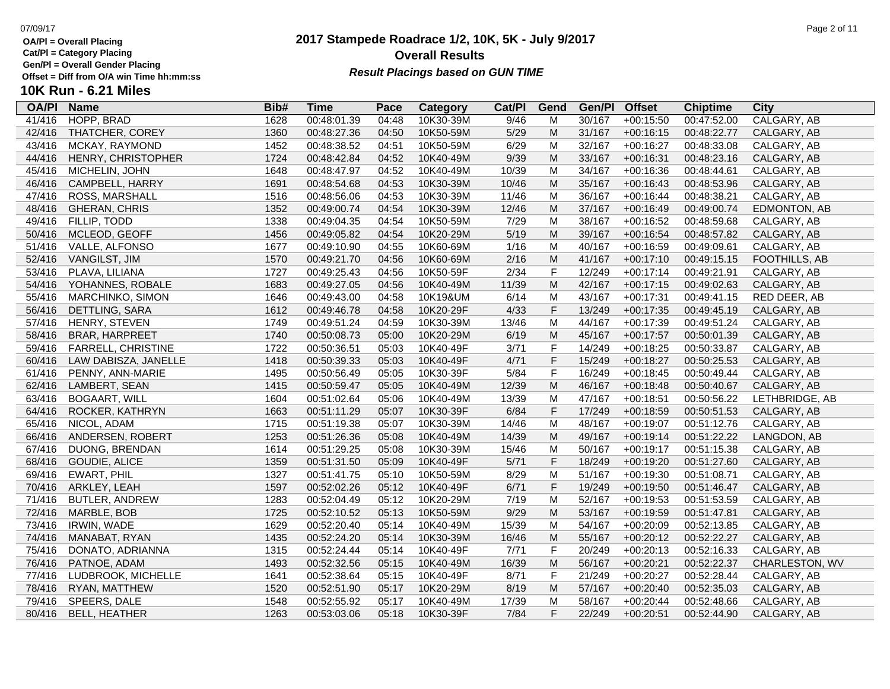**Cat/Pl = Category Placing**

**Gen/Pl = Overall Gender Placing**

### **2017 Stampede Roadrace 1/2, 10K, 5K - July 9/2017** 07/09/17 Page 2 of 11 **Overall Results** Gen/PI = Overall Gender Placing<br>Offset = Diff from O/A win Time hh:mm:ss *Result Placings based on GUN TIME*

| <b>OA/PI</b> | <b>Name</b>             | Bib# | Time        | Pace  | Category  | Cat/PI | Gend        | Gen/Pl | <b>Offset</b> | <b>Chiptime</b> | City           |
|--------------|-------------------------|------|-------------|-------|-----------|--------|-------------|--------|---------------|-----------------|----------------|
| 41/416       | HOPP, BRAD              | 1628 | 00:48:01.39 | 04:48 | 10K30-39M | 9/46   | M           | 30/167 | $+00:15:50$   | 00:47:52.00     | CALGARY, AB    |
| 42/416       | THATCHER, COREY         | 1360 | 00:48:27.36 | 04:50 | 10K50-59M | $5/29$ | M           | 31/167 | $+00:16:15$   | 00:48:22.77     | CALGARY, AB    |
| 43/416       | MCKAY, RAYMOND          | 1452 | 00:48:38.52 | 04:51 | 10K50-59M | 6/29   | M           | 32/167 | $+00:16:27$   | 00:48:33.08     | CALGARY, AB    |
| 44/416       | HENRY, CHRISTOPHER      | 1724 | 00:48:42.84 | 04:52 | 10K40-49M | 9/39   | M           | 33/167 | $+00:16:31$   | 00:48:23.16     | CALGARY, AB    |
| 45/416       | MICHELIN, JOHN          | 1648 | 00:48:47.97 | 04:52 | 10K40-49M | 10/39  | M           | 34/167 | $+00:16:36$   | 00:48:44.61     | CALGARY, AB    |
| 46/416       | CAMPBELL, HARRY         | 1691 | 00:48:54.68 | 04:53 | 10K30-39M | 10/46  | M           | 35/167 | $+00:16:43$   | 00:48:53.96     | CALGARY, AB    |
| 47/416       | ROSS, MARSHALL          | 1516 | 00:48:56.06 | 04:53 | 10K30-39M | 11/46  | M           | 36/167 | $+00:16:44$   | 00:48:38.21     | CALGARY, AB    |
| 48/416       | <b>GHERAN, CHRIS</b>    | 1352 | 00:49:00.74 | 04:54 | 10K30-39M | 12/46  | ${\sf M}$   | 37/167 | $+00:16:49$   | 00:49:00.74     | EDMONTON, AB   |
| 49/416       | FILLIP, TODD            | 1338 | 00:49:04.35 | 04:54 | 10K50-59M | 7/29   | M           | 38/167 | $+00:16:52$   | 00:48:59.68     | CALGARY, AB    |
| 50/416       | MCLEOD, GEOFF           | 1456 | 00:49:05.82 | 04:54 | 10K20-29M | 5/19   | M           | 39/167 | $+00:16:54$   | 00:48:57.82     | CALGARY, AB    |
| 51/416       | VALLE, ALFONSO          | 1677 | 00:49:10.90 | 04:55 | 10K60-69M | 1/16   | M           | 40/167 | $+00:16:59$   | 00:49:09.61     | CALGARY, AB    |
| 52/416       | VANGILST, JIM           | 1570 | 00:49:21.70 | 04:56 | 10K60-69M | 2/16   | M           | 41/167 | $+00:17:10$   | 00:49:15.15     | FOOTHILLS, AB  |
| 53/416       | PLAVA, LILIANA          | 1727 | 00:49:25.43 | 04:56 | 10K50-59F | 2/34   | $\mathsf F$ | 12/249 | $+00:17:14$   | 00:49:21.91     | CALGARY, AB    |
| 54/416       | YOHANNES, ROBALE        | 1683 | 00:49:27.05 | 04:56 | 10K40-49M | 11/39  | M           | 42/167 | $+00:17:15$   | 00:49:02.63     | CALGARY, AB    |
| 55/416       | <b>MARCHINKO, SIMON</b> | 1646 | 00:49:43.00 | 04:58 | 10K19&UM  | 6/14   | M           | 43/167 | $+00:17:31$   | 00:49:41.15     | RED DEER, AB   |
| 56/416       | DETTLING, SARA          | 1612 | 00:49:46.78 | 04:58 | 10K20-29F | 4/33   | $\mathsf F$ | 13/249 | $+00:17:35$   | 00:49:45.19     | CALGARY, AB    |
| 57/416       | HENRY, STEVEN           | 1749 | 00:49:51.24 | 04:59 | 10K30-39M | 13/46  | M           | 44/167 | $+00:17:39$   | 00:49:51.24     | CALGARY, AB    |
| 58/416       | <b>BRAR, HARPREET</b>   | 1740 | 00:50:08.73 | 05:00 | 10K20-29M | 6/19   | M           | 45/167 | $+00:17:57$   | 00:50:01.39     | CALGARY, AB    |
| 59/416       | FARRELL, CHRISTINE      | 1722 | 00:50:36.51 | 05:03 | 10K40-49F | 3/71   | $\mathsf F$ | 14/249 | $+00:18:25$   | 00:50:33.87     | CALGARY, AB    |
| 60/416       | LAW DABISZA, JANELLE    | 1418 | 00:50:39.33 | 05:03 | 10K40-49F | 4/71   | $\mathsf F$ | 15/249 | $+00:18:27$   | 00:50:25.53     | CALGARY, AB    |
| 61/416       | PENNY, ANN-MARIE        | 1495 | 00:50:56.49 | 05:05 | 10K30-39F | 5/84   | $\mathsf F$ | 16/249 | $+00:18:45$   | 00:50:49.44     | CALGARY, AB    |
| 62/416       | LAMBERT, SEAN           | 1415 | 00:50:59.47 | 05:05 | 10K40-49M | 12/39  | M           | 46/167 | $+00:18:48$   | 00:50:40.67     | CALGARY, AB    |
| 63/416       | <b>BOGAART, WILL</b>    | 1604 | 00:51:02.64 | 05:06 | 10K40-49M | 13/39  | M           | 47/167 | $+00:18:51$   | 00:50:56.22     | LETHBRIDGE, AB |
| 64/416       | ROCKER, KATHRYN         | 1663 | 00:51:11.29 | 05:07 | 10K30-39F | 6/84   | $\mathsf F$ | 17/249 | $+00:18:59$   | 00:50:51.53     | CALGARY, AB    |
| 65/416       | NICOL, ADAM             | 1715 | 00:51:19.38 | 05:07 | 10K30-39M | 14/46  | M           | 48/167 | $+00:19:07$   | 00:51:12.76     | CALGARY, AB    |
| 66/416       | ANDERSEN, ROBERT        | 1253 | 00:51:26.36 | 05:08 | 10K40-49M | 14/39  | M           | 49/167 | $+00:19:14$   | 00:51:22.22     | LANGDON, AB    |
| 67/416       | DUONG, BRENDAN          | 1614 | 00:51:29.25 | 05:08 | 10K30-39M | 15/46  | M           | 50/167 | $+00:19:17$   | 00:51:15.38     | CALGARY, AB    |
| 68/416       | <b>GOUDIE, ALICE</b>    | 1359 | 00:51:31.50 | 05:09 | 10K40-49F | 5/71   | $\mathsf F$ | 18/249 | $+00:19:20$   | 00:51:27.60     | CALGARY, AB    |
| 69/416       | EWART, PHIL             | 1327 | 00:51:41.75 | 05:10 | 10K50-59M | 8/29   | M           | 51/167 | $+00:19:30$   | 00:51:08.71     | CALGARY, AB    |
| 70/416       | ARKLEY, LEAH            | 1597 | 00:52:02.26 | 05:12 | 10K40-49F | 6/71   | $\mathsf F$ | 19/249 | $+00:19:50$   | 00:51:46.47     | CALGARY, AB    |
| 71/416       | <b>BUTLER, ANDREW</b>   | 1283 | 00:52:04.49 | 05:12 | 10K20-29M | 7/19   | M           | 52/167 | $+00:19:53$   | 00:51:53.59     | CALGARY, AB    |
| 72/416       | MARBLE, BOB             | 1725 | 00:52:10.52 | 05:13 | 10K50-59M | 9/29   | M           | 53/167 | $+00:19:59$   | 00:51:47.81     | CALGARY, AB    |
| 73/416       | IRWIN, WADE             | 1629 | 00:52:20.40 | 05:14 | 10K40-49M | 15/39  | M           | 54/167 | $+00:20:09$   | 00:52:13.85     | CALGARY, AB    |
| 74/416       | MANABAT, RYAN           | 1435 | 00:52:24.20 | 05:14 | 10K30-39M | 16/46  | M           | 55/167 | $+00:20:12$   | 00:52:22.27     | CALGARY, AB    |
| 75/416       | DONATO, ADRIANNA        | 1315 | 00:52:24.44 | 05:14 | 10K40-49F | 7/71   | $\mathsf F$ | 20/249 | $+00:20:13$   | 00:52:16.33     | CALGARY, AB    |
| 76/416       | PATNOE, ADAM            | 1493 | 00:52:32.56 | 05:15 | 10K40-49M | 16/39  | M           | 56/167 | $+00:20:21$   | 00:52:22.37     | CHARLESTON, WV |
| 77/416       | LUDBROOK, MICHELLE      | 1641 | 00:52:38.64 | 05:15 | 10K40-49F | 8/71   | $\mathsf F$ | 21/249 | $+00:20:27$   | 00:52:28.44     | CALGARY, AB    |
| 78/416       | RYAN, MATTHEW           | 1520 | 00:52:51.90 | 05:17 | 10K20-29M | 8/19   | M           | 57/167 | $+00:20:40$   | 00:52:35.03     | CALGARY, AB    |
| 79/416       | SPEERS, DALE            | 1548 | 00:52:55.92 | 05:17 | 10K40-49M | 17/39  | M           | 58/167 | $+00:20:44$   | 00:52:48.66     | CALGARY, AB    |
| 80/416       | <b>BELL, HEATHER</b>    | 1263 | 00:53:03.06 | 05:18 | 10K30-39F | 7/84   | F           | 22/249 | $+00:20:51$   | 00:52:44.90     | CALGARY, AB    |
|              |                         |      |             |       |           |        |             |        |               |                 |                |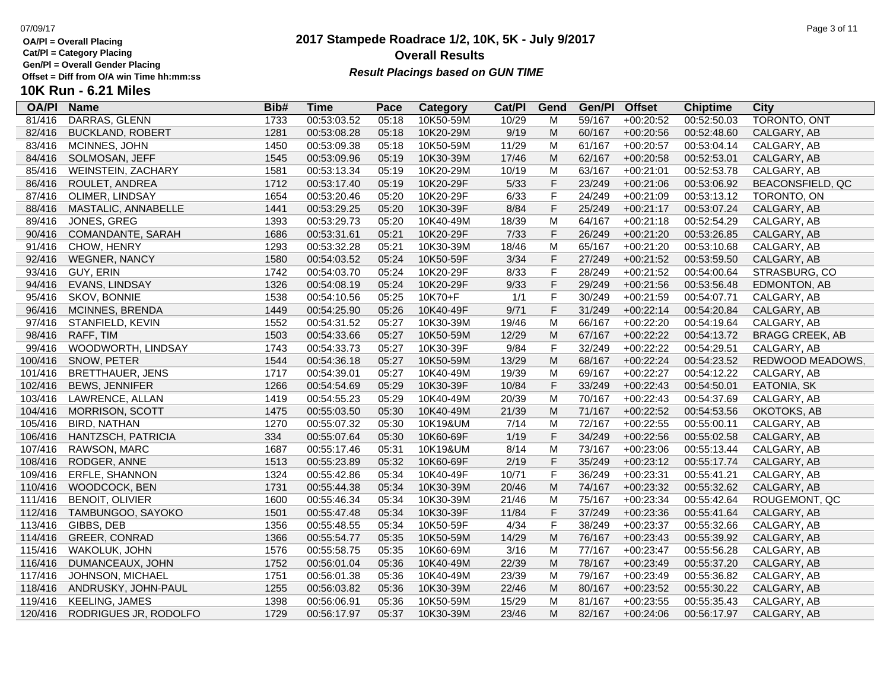**Cat/Pl = Category Placing**

**Gen/Pl = Overall Gender Placing**

# **10K Run - 6.21 Miles**

| <b>OA/PI</b> | <b>Name</b>               | Bib# | <b>Time</b> | Pace  | Category  | Cat/Pl | Gend         | Gen/Pl | <b>Offset</b> | <b>Chiptime</b> | City                    |
|--------------|---------------------------|------|-------------|-------|-----------|--------|--------------|--------|---------------|-----------------|-------------------------|
| 81/416       | DARRAS, GLENN             | 1733 | 00:53:03.52 | 05:18 | 10K50-59M | 10/29  | м            | 59/167 | $+00:20:52$   | 00:52:50.03     | TORONTO, ONT            |
| 82/416       | <b>BUCKLAND, ROBERT</b>   | 1281 | 00:53:08.28 | 05:18 | 10K20-29M | 9/19   | M            | 60/167 | $+00:20:56$   | 00:52:48.60     | CALGARY, AB             |
| 83/416       | MCINNES, JOHN             | 1450 | 00:53:09.38 | 05:18 | 10K50-59M | 11/29  | M            | 61/167 | $+00:20:57$   | 00:53:04.14     | CALGARY, AB             |
| 84/416       | SOLMOSAN, JEFF            | 1545 | 00:53:09.96 | 05:19 | 10K30-39M | 17/46  | ${\sf M}$    | 62/167 | $+00:20:58$   | 00:52:53.01     | CALGARY, AB             |
| 85/416       | <b>WEINSTEIN, ZACHARY</b> | 1581 | 00:53:13.34 | 05:19 | 10K20-29M | 10/19  | M            | 63/167 | $+00:21:01$   | 00:52:53.78     | CALGARY, AB             |
| 86/416       | ROULET, ANDREA            | 1712 | 00:53:17.40 | 05:19 | 10K20-29F | 5/33   | F            | 23/249 | $+00:21:06$   | 00:53:06.92     | <b>BEACONSFIELD, QC</b> |
| 87/416       | OLIMER, LINDSAY           | 1654 | 00:53:20.46 | 05:20 | 10K20-29F | 6/33   | $\mathsf F$  | 24/249 | $+00:21:09$   | 00:53:13.12     | TORONTO, ON             |
| 88/416       | MASTALIC, ANNABELLE       | 1441 | 00:53:29.25 | 05:20 | 10K30-39F | 8/84   | $\mathsf F$  | 25/249 | $+00:21:17$   | 00:53:07.24     | CALGARY, AB             |
| 89/416       | JONES, GREG               | 1393 | 00:53:29.73 | 05:20 | 10K40-49M | 18/39  | M            | 64/167 | $+00:21:18$   | 00:52:54.29     | CALGARY, AB             |
| 90/416       | COMANDANTE, SARAH         | 1686 | 00:53:31.61 | 05:21 | 10K20-29F | 7/33   | F            | 26/249 | $+00:21:20$   | 00:53:26.85     | CALGARY, AB             |
| 91/416       | CHOW, HENRY               | 1293 | 00:53:32.28 | 05:21 | 10K30-39M | 18/46  | M            | 65/167 | $+00:21:20$   | 00:53:10.68     | CALGARY, AB             |
| 92/416       | <b>WEGNER, NANCY</b>      | 1580 | 00:54:03.52 | 05:24 | 10K50-59F | 3/34   | $\mathsf F$  | 27/249 | $+00:21:52$   | 00:53:59.50     | CALGARY, AB             |
| 93/416       | GUY, ERIN                 | 1742 | 00:54:03.70 | 05:24 | 10K20-29F | 8/33   | $\mathsf{F}$ | 28/249 | $+00:21:52$   | 00:54:00.64     | STRASBURG, CO           |
| 94/416       | EVANS, LINDSAY            | 1326 | 00:54:08.19 | 05:24 | 10K20-29F | 9/33   | F            | 29/249 | $+00:21:56$   | 00:53:56.48     | EDMONTON, AB            |
| 95/416       | SKOV, BONNIE              | 1538 | 00:54:10.56 | 05:25 | 10K70+F   | 1/1    | $\mathsf F$  | 30/249 | $+00:21:59$   | 00:54:07.71     | CALGARY, AB             |
| 96/416       | MCINNES, BRENDA           | 1449 | 00:54:25.90 | 05:26 | 10K40-49F | 9/71   | F            | 31/249 | $+00:22:14$   | 00:54:20.84     | CALGARY, AB             |
| 97/416       | STANFIELD, KEVIN          | 1552 | 00:54:31.52 | 05:27 | 10K30-39M | 19/46  | M            | 66/167 | $+00:22:20$   | 00:54:19.64     | CALGARY, AB             |
| 98/416       | RAFF, TIM                 | 1503 | 00:54:33.66 | 05:27 | 10K50-59M | 12/29  | M            | 67/167 | $+00:22:22$   | 00:54:13.72     | <b>BRAGG CREEK, AB</b>  |
| 99/416       | WOODWORTH, LINDSAY        | 1743 | 00:54:33.73 | 05:27 | 10K30-39F | 9/84   | $\mathsf F$  | 32/249 | $+00:22:22$   | 00:54:29.51     | CALGARY, AB             |
| 100/416      | SNOW, PETER               | 1544 | 00:54:36.18 | 05:27 | 10K50-59M | 13/29  | ${\sf M}$    | 68/167 | $+00:22:24$   | 00:54:23.52     | REDWOOD MEADOWS.        |
| 101/416      | <b>BRETTHAUER, JENS</b>   | 1717 | 00:54:39.01 | 05:27 | 10K40-49M | 19/39  | M            | 69/167 | $+00:22:27$   | 00:54:12.22     | CALGARY, AB             |
| 102/416      | <b>BEWS, JENNIFER</b>     | 1266 | 00:54:54.69 | 05:29 | 10K30-39F | 10/84  | F            | 33/249 | $+00:22:43$   | 00:54:50.01     | EATONIA, SK             |
| 103/416      | LAWRENCE, ALLAN           | 1419 | 00:54:55.23 | 05:29 | 10K40-49M | 20/39  | M            | 70/167 | $+00:22:43$   | 00:54:37.69     | CALGARY, AB             |
| 104/416      | <b>MORRISON, SCOTT</b>    | 1475 | 00:55:03.50 | 05:30 | 10K40-49M | 21/39  | M            | 71/167 | $+00:22:52$   | 00:54:53.56     | OKOTOKS, AB             |
| 105/416      | <b>BIRD, NATHAN</b>       | 1270 | 00:55:07.32 | 05:30 | 10K19&UM  | 7/14   | M            | 72/167 | $+00:22:55$   | 00:55:00.11     | CALGARY, AB             |
| 106/416      | HANTZSCH, PATRICIA        | 334  | 00:55:07.64 | 05:30 | 10K60-69F | 1/19   | F            | 34/249 | $+00:22:56$   | 00:55:02.58     | CALGARY, AB             |
| 107/416      | RAWSON, MARC              | 1687 | 00:55:17.46 | 05:31 | 10K19&UM  | 8/14   | M            | 73/167 | $+00:23:06$   | 00:55:13.44     | CALGARY, AB             |
| 108/416      | RODGER, ANNE              | 1513 | 00:55:23.89 | 05:32 | 10K60-69F | 2/19   | F            | 35/249 | $+00:23:12$   | 00:55:17.74     | CALGARY, AB             |
| 109/416      | ERFLE, SHANNON            | 1324 | 00:55:42.86 | 05:34 | 10K40-49F | 10/71  | $\mathsf F$  | 36/249 | $+00:23:31$   | 00:55:41.21     | CALGARY, AB             |
| 110/416      | WOODCOCK, BEN             | 1731 | 00:55:44.38 | 05:34 | 10K30-39M | 20/46  | ${\sf M}$    | 74/167 | $+00:23:32$   | 00:55:32.62     | CALGARY, AB             |
| 111/416      | BENOIT, OLIVIER           | 1600 | 00:55:46.34 | 05:34 | 10K30-39M | 21/46  | M            | 75/167 | $+00:23:34$   | 00:55:42.64     | ROUGEMONT, QC           |
| 112/416      | TAMBUNGOO, SAYOKO         | 1501 | 00:55:47.48 | 05:34 | 10K30-39F | 11/84  | F            | 37/249 | $+00:23:36$   | 00:55:41.64     | CALGARY, AB             |
| 113/416      | GIBBS, DEB                | 1356 | 00:55:48.55 | 05:34 | 10K50-59F | 4/34   | $\mathsf F$  | 38/249 | $+00:23:37$   | 00:55:32.66     | CALGARY, AB             |
| 114/416      | GREER, CONRAD             | 1366 | 00:55:54.77 | 05:35 | 10K50-59M | 14/29  | ${\sf M}$    | 76/167 | $+00:23:43$   | 00:55:39.92     | CALGARY, AB             |
| 115/416      | WAKOLUK, JOHN             | 1576 | 00:55:58.75 | 05:35 | 10K60-69M | 3/16   | M            | 77/167 | $+00:23:47$   | 00:55:56.28     | CALGARY, AB             |
| 116/416      | DUMANCEAUX, JOHN          | 1752 | 00:56:01.04 | 05:36 | 10K40-49M | 22/39  | M            | 78/167 | $+00:23:49$   | 00:55:37.20     | CALGARY, AB             |
| 117/416      | <b>JOHNSON, MICHAEL</b>   | 1751 | 00:56:01.38 | 05:36 | 10K40-49M | 23/39  | м            | 79/167 | $+00:23:49$   | 00:55:36.82     | CALGARY, AB             |
| 118/416      | ANDRUSKY, JOHN-PAUL       | 1255 | 00:56:03.82 | 05:36 | 10K30-39M | 22/46  | ${\sf M}$    | 80/167 | $+00:23:52$   | 00:55:30.22     | CALGARY, AB             |
| 119/416      | <b>KEELING, JAMES</b>     | 1398 | 00:56:06.91 | 05:36 | 10K50-59M | 15/29  | M            | 81/167 | $+00:23:55$   | 00:55:35.43     | CALGARY, AB             |
| 120/416      | RODRIGUES JR, RODOLFO     | 1729 | 00:56:17.97 | 05:37 | 10K30-39M | 23/46  | M            | 82/167 | $+00:24:06$   | 00:56:17.97     | CALGARY, AB             |

### **2017 Stampede Roadrace 1/2, 10K, 5K - July 9/2017** 07/09/17 Page 3 of 11 **Overall Results Result Placings based on GUN TIME**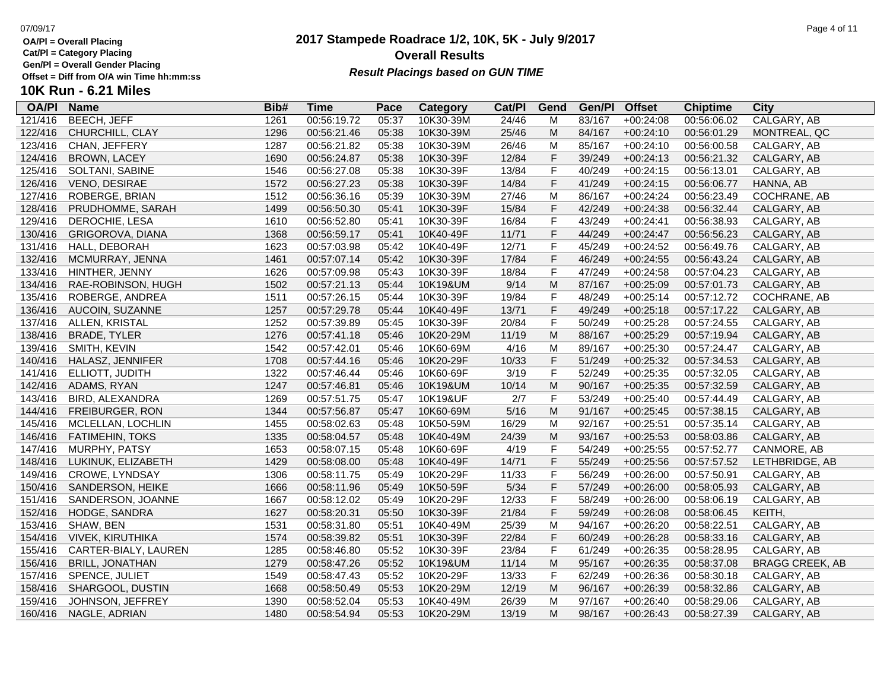**Cat/Pl = Category Placing**

**Gen/Pl = Overall Gender Placing**

### **2017 Stampede Roadrace 1/2, 10K, 5K - July 9/2017** 07/09/17 Page 4 of 11 **Overall Results Result Placings based on GUN TIME**

| <b>OA/PI</b> | <b>Name</b>             | Bib# | Time        | Pace  | Category  | Cat/PI | Gend           | Gen/Pl | <b>Offset</b> | <b>Chiptime</b> | <b>City</b>            |
|--------------|-------------------------|------|-------------|-------|-----------|--------|----------------|--------|---------------|-----------------|------------------------|
| 121/416      | <b>BEECH, JEFF</b>      | 1261 | 00:56:19.72 | 05:37 | 10K30-39M | 24/46  | M              | 83/167 | $+00:24:08$   | 00:56:06.02     | CALGARY, AB            |
| 122/416      | CHURCHILL, CLAY         | 1296 | 00:56:21.46 | 05:38 | 10K30-39M | 25/46  | M              | 84/167 | $+00:24:10$   | 00:56:01.29     | MONTREAL, QC           |
| 123/416      | CHAN, JEFFERY           | 1287 | 00:56:21.82 | 05:38 | 10K30-39M | 26/46  | M              | 85/167 | $+00:24:10$   | 00:56:00.58     | CALGARY, AB            |
| 124/416      | <b>BROWN, LACEY</b>     | 1690 | 00:56:24.87 | 05:38 | 10K30-39F | 12/84  | F              | 39/249 | $+00:24:13$   | 00:56:21.32     | CALGARY, AB            |
| 125/416      | SOLTANI, SABINE         | 1546 | 00:56:27.08 | 05:38 | 10K30-39F | 13/84  | F              | 40/249 | $+00:24:15$   | 00:56:13.01     | CALGARY, AB            |
| 126/416      | VENO, DESIRAE           | 1572 | 00:56:27.23 | 05:38 | 10K30-39F | 14/84  | F              | 41/249 | $+00:24:15$   | 00:56:06.77     | HANNA, AB              |
| 127/416      | ROBERGE, BRIAN          | 1512 | 00:56:36.16 | 05:39 | 10K30-39M | 27/46  | M              | 86/167 | $+00:24:24$   | 00:56:23.49     | COCHRANE, AB           |
| 128/416      | PRUDHOMME, SARAH        | 1499 | 00:56:50.30 | 05:41 | 10K30-39F | 15/84  | F              | 42/249 | $+00:24:38$   | 00:56:32.44     | CALGARY, AB            |
| 129/416      | DEROCHIE, LESA          | 1610 | 00:56:52.80 | 05:41 | 10K30-39F | 16/84  | F              | 43/249 | $+00:24:41$   | 00:56:38.93     | CALGARY, AB            |
| 130/416      | GRIGOROVA, DIANA        | 1368 | 00:56:59.17 | 05:41 | 10K40-49F | 11/71  | F              | 44/249 | $+00:24:47$   | 00:56:56.23     | CALGARY, AB            |
| 131/416      | HALL, DEBORAH           | 1623 | 00:57:03.98 | 05:42 | 10K40-49F | 12/71  | F              | 45/249 | $+00:24:52$   | 00:56:49.76     | CALGARY, AB            |
| 132/416      | MCMURRAY, JENNA         | 1461 | 00:57:07.14 | 05:42 | 10K30-39F | 17/84  | F              | 46/249 | $+00:24:55$   | 00:56:43.24     | CALGARY, AB            |
| 133/416      | HINTHER, JENNY          | 1626 | 00:57:09.98 | 05:43 | 10K30-39F | 18/84  | F              | 47/249 | $+00:24:58$   | 00:57:04.23     | CALGARY, AB            |
| 134/416      | RAE-ROBINSON, HUGH      | 1502 | 00:57:21.13 | 05:44 | 10K19&UM  | 9/14   | ${\sf M}$      | 87/167 | $+00:25:09$   | 00:57:01.73     | CALGARY, AB            |
| 135/416      | ROBERGE, ANDREA         | 1511 | 00:57:26.15 | 05:44 | 10K30-39F | 19/84  | F              | 48/249 | $+00:25:14$   | 00:57:12.72     | <b>COCHRANE, AB</b>    |
| 136/416      | AUCOIN, SUZANNE         | 1257 | 00:57:29.78 | 05:44 | 10K40-49F | 13/71  | F              | 49/249 | $+00:25:18$   | 00:57:17.22     | CALGARY, AB            |
| 137/416      | ALLEN, KRISTAL          | 1252 | 00:57:39.89 | 05:45 | 10K30-39F | 20/84  | F              | 50/249 | $+00:25:28$   | 00:57:24.55     | CALGARY, AB            |
| 138/416      | <b>BRADE, TYLER</b>     | 1276 | 00:57:41.18 | 05:46 | 10K20-29M | 11/19  | ${\sf M}$      | 88/167 | $+00:25:29$   | 00:57:19.94     | CALGARY, AB            |
| 139/416      | SMITH, KEVIN            | 1542 | 00:57:42.01 | 05:46 | 10K60-69M | 4/16   | M              | 89/167 | $+00:25:30$   | 00:57:24.47     | CALGARY, AB            |
| 140/416      | HALASZ, JENNIFER        | 1708 | 00:57:44.16 | 05:46 | 10K20-29F | 10/33  | F              | 51/249 | $+00:25:32$   | 00:57:34.53     | CALGARY, AB            |
| 141/416      | ELLIOTT, JUDITH         | 1322 | 00:57:46.44 | 05:46 | 10K60-69F | 3/19   | $\overline{F}$ | 52/249 | $+00:25:35$   | 00:57:32.05     | CALGARY, AB            |
| 142/416      | ADAMS, RYAN             | 1247 | 00:57:46.81 | 05:46 | 10K19&UM  | 10/14  | ${\sf M}$      | 90/167 | $+00:25:35$   | 00:57:32.59     | CALGARY, AB            |
| 143/416      | BIRD, ALEXANDRA         | 1269 | 00:57:51.75 | 05:47 | 10K19&UF  | 2/7    | F              | 53/249 | $+00:25:40$   | 00:57:44.49     | CALGARY, AB            |
| 144/416      | FREIBURGER, RON         | 1344 | 00:57:56.87 | 05:47 | 10K60-69M | 5/16   | ${\sf M}$      | 91/167 | $+00:25:45$   | 00:57:38.15     | CALGARY, AB            |
| 145/416      | MCLELLAN, LOCHLIN       | 1455 | 00:58:02.63 | 05:48 | 10K50-59M | 16/29  | M              | 92/167 | $+00:25:51$   | 00:57:35.14     | CALGARY, AB            |
| 146/416      | <b>FATIMEHIN, TOKS</b>  | 1335 | 00:58:04.57 | 05:48 | 10K40-49M | 24/39  | ${\sf M}$      | 93/167 | $+00:25:53$   | 00:58:03.86     | CALGARY, AB            |
| 147/416      | MURPHY, PATSY           | 1653 | 00:58:07.15 | 05:48 | 10K60-69F | 4/19   | F              | 54/249 | $+00:25:55$   | 00:57:52.77     | CANMORE, AB            |
| 148/416      | LUKINUK, ELIZABETH      | 1429 | 00:58:08.00 | 05:48 | 10K40-49F | 14/71  | F              | 55/249 | $+00:25:56$   | 00:57:57.52     | LETHBRIDGE, AB         |
| 149/416      | <b>CROWE, LYNDSAY</b>   | 1306 | 00:58:11.75 | 05:49 | 10K20-29F | 11/33  | F              | 56/249 | $+00:26:00$   | 00:57:50.91     | CALGARY, AB            |
| 150/416      | SANDERSON, HEIKE        | 1666 | 00:58:11.96 | 05:49 | 10K50-59F | 5/34   | F              | 57/249 | $+00:26:00$   | 00:58:05.93     | CALGARY, AB            |
| 151/416      | SANDERSON, JOANNE       | 1667 | 00:58:12.02 | 05:49 | 10K20-29F | 12/33  | F              | 58/249 | $+00:26:00$   | 00:58:06.19     | CALGARY, AB            |
| 152/416      | HODGE, SANDRA           | 1627 | 00:58:20.31 | 05:50 | 10K30-39F | 21/84  | F              | 59/249 | $+00:26:08$   | 00:58:06.45     | KEITH,                 |
| 153/416      | SHAW, BEN               | 1531 | 00:58:31.80 | 05:51 | 10K40-49M | 25/39  | M              | 94/167 | $+00:26:20$   | 00:58:22.51     | CALGARY, AB            |
| 154/416      | <b>VIVEK, KIRUTHIKA</b> | 1574 | 00:58:39.82 | 05:51 | 10K30-39F | 22/84  | F              | 60/249 | $+00:26:28$   | 00:58:33.16     | CALGARY, AB            |
| 155/416      | CARTER-BIALY, LAUREN    | 1285 | 00:58:46.80 | 05:52 | 10K30-39F | 23/84  | F              | 61/249 | $+00:26:35$   | 00:58:28.95     | CALGARY, AB            |
| 156/416      | <b>BRILL, JONATHAN</b>  | 1279 | 00:58:47.26 | 05:52 | 10K19&UM  | 11/14  | ${\sf M}$      | 95/167 | $+00:26:35$   | 00:58:37.08     | <b>BRAGG CREEK, AB</b> |
| 157/416      | SPENCE, JULIET          | 1549 | 00:58:47.43 | 05:52 | 10K20-29F | 13/33  | F              | 62/249 | $+00:26:36$   | 00:58:30.18     | CALGARY, AB            |
| 158/416      | SHARGOOL, DUSTIN        | 1668 | 00:58:50.49 | 05:53 | 10K20-29M | 12/19  | ${\sf M}$      | 96/167 | $+00:26:39$   | 00:58:32.86     | CALGARY, AB            |
| 159/416      | JOHNSON, JEFFREY        | 1390 | 00:58:52.04 | 05:53 | 10K40-49M | 26/39  | M              | 97/167 | $+00:26:40$   | 00:58:29.06     | CALGARY, AB            |
| 160/416      | NAGLE, ADRIAN           | 1480 | 00:58:54.94 | 05:53 | 10K20-29M | 13/19  | M              | 98/167 | $+00:26:43$   | 00:58:27.39     | CALGARY, AB            |
|              |                         |      |             |       |           |        |                |        |               |                 |                        |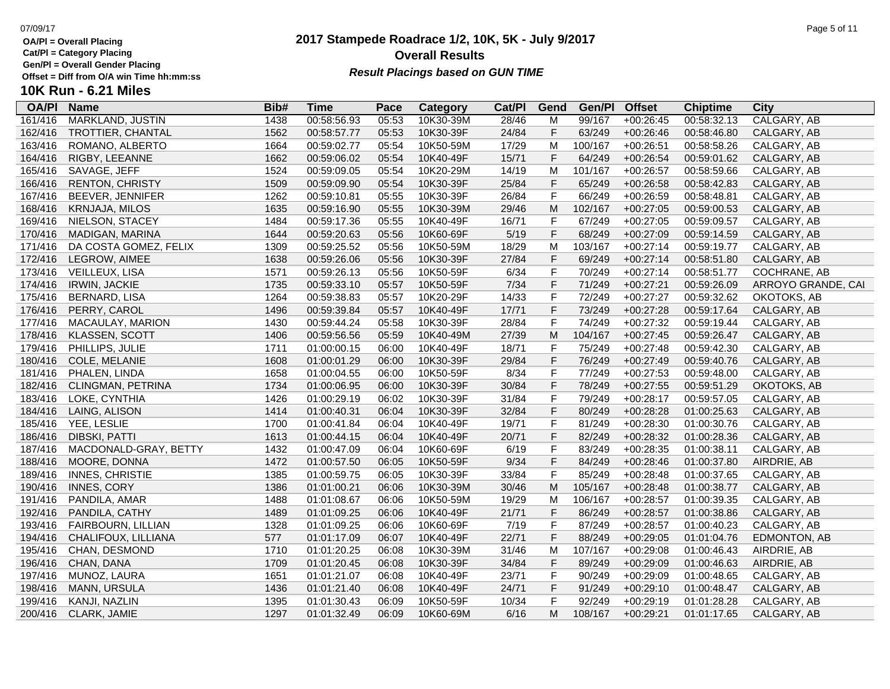**Cat/Pl = Category Placing**

**Gen/Pl = Overall Gender Placing**

### **2017 Stampede Roadrace 1/2, 10K, 5K - July 9/2017** 07/09/17 Page 5 of 11 **Overall Results** Gen/PI = Overall Gender Placing<br>Offset = Diff from O/A win Time hh:mm:ss *Result Placings based on GUN TIME*

| Page 5 of 1 |  |
|-------------|--|
|-------------|--|

| <b>OA/PI</b> | <b>Name</b>             | Bib# | <b>Time</b> | Pace  | Category  | Cat/Pl | Gend        | Gen/Pl  | <b>Offset</b> | <b>Chiptime</b> | City               |
|--------------|-------------------------|------|-------------|-------|-----------|--------|-------------|---------|---------------|-----------------|--------------------|
| 161/416      | <b>MARKLAND, JUSTIN</b> | 1438 | 00:58:56.93 | 05:53 | 10K30-39M | 28/46  | M           | 99/167  | $+00:26:45$   | 00:58:32.13     | <b>CALGARY, AB</b> |
| 162/416      | TROTTIER, CHANTAL       | 1562 | 00:58:57.77 | 05:53 | 10K30-39F | 24/84  | $\mathsf F$ | 63/249  | $+00:26:46$   | 00:58:46.80     | CALGARY, AB        |
| 163/416      | ROMANO, ALBERTO         | 1664 | 00:59:02.77 | 05:54 | 10K50-59M | 17/29  | M           | 100/167 | $+00:26:51$   | 00:58:58.26     | CALGARY, AB        |
| 164/416      | RIGBY, LEEANNE          | 1662 | 00:59:06.02 | 05:54 | 10K40-49F | 15/71  | $\mathsf F$ | 64/249  | $+00:26:54$   | 00:59:01.62     | CALGARY, AB        |
| 165/416      | SAVAGE, JEFF            | 1524 | 00:59:09.05 | 05:54 | 10K20-29M | 14/19  | M           | 101/167 | $+00:26:57$   | 00:58:59.66     | CALGARY, AB        |
| 166/416      | <b>RENTON, CHRISTY</b>  | 1509 | 00:59:09.90 | 05:54 | 10K30-39F | 25/84  | $\mathsf F$ | 65/249  | $+00:26:58$   | 00:58:42.83     | CALGARY, AB        |
| 167/416      | BEEVER, JENNIFER        | 1262 | 00:59:10.81 | 05:55 | 10K30-39F | 26/84  | $\mathsf F$ | 66/249  | $+00:26:59$   | 00:58:48.81     | CALGARY, AB        |
| 168/416      | KRNJAJA, MILOS          | 1635 | 00:59:16.90 | 05:55 | 10K30-39M | 29/46  | M           | 102/167 | $+00:27:05$   | 00:59:00.53     | CALGARY, AB        |
| 169/416      | NIELSON, STACEY         | 1484 | 00:59:17.36 | 05:55 | 10K40-49F | 16/71  | $\mathsf F$ | 67/249  | $+00:27:05$   | 00:59:09.57     | CALGARY, AB        |
| 170/416      | MADIGAN, MARINA         | 1644 | 00:59:20.63 | 05:56 | 10K60-69F | 5/19   | $\mathsf F$ | 68/249  | $+00:27:09$   | 00:59:14.59     | CALGARY, AB        |
| 171/416      | DA COSTA GOMEZ, FELIX   | 1309 | 00:59:25.52 | 05:56 | 10K50-59M | 18/29  | M           | 103/167 | $+00:27:14$   | 00:59:19.77     | CALGARY, AB        |
| 172/416      | LEGROW, AIMEE           | 1638 | 00:59:26.06 | 05:56 | 10K30-39F | 27/84  | $\mathsf F$ | 69/249  | $+00:27:14$   | 00:58:51.80     | CALGARY, AB        |
| 173/416      | VEILLEUX, LISA          | 1571 | 00:59:26.13 | 05:56 | 10K50-59F | 6/34   | $\mathsf F$ | 70/249  | $+00:27:14$   | 00:58:51.77     | COCHRANE, AB       |
| 174/416      | <b>IRWIN, JACKIE</b>    | 1735 | 00:59:33.10 | 05:57 | 10K50-59F | 7/34   | $\mathsf F$ | 71/249  | $+00:27:21$   | 00:59:26.09     | ARROYO GRANDE, CAI |
| 175/416      | <b>BERNARD, LISA</b>    | 1264 | 00:59:38.83 | 05:57 | 10K20-29F | 14/33  | $\mathsf F$ | 72/249  | $+00:27:27$   | 00:59:32.62     | OKOTOKS, AB        |
| 176/416      | PERRY, CAROL            | 1496 | 00:59:39.84 | 05:57 | 10K40-49F | 17/71  | $\mathsf F$ | 73/249  | $+00:27:28$   | 00:59:17.64     | CALGARY, AB        |
| 177/416      | MACAULAY, MARION        | 1430 | 00:59:44.24 | 05:58 | 10K30-39F | 28/84  | $\mathsf F$ | 74/249  | $+00:27:32$   | 00:59:19.44     | CALGARY, AB        |
| 178/416      | <b>KLASSEN, SCOTT</b>   | 1406 | 00:59:56.56 | 05:59 | 10K40-49M | 27/39  | M           | 104/167 | $+00:27:45$   | 00:59:26.47     | CALGARY, AB        |
| 179/416      | PHILLIPS, JULIE         | 1711 | 01:00:00.15 | 06:00 | 10K40-49F | 18/71  | $\mathsf F$ | 75/249  | $+00:27:48$   | 00:59:42.30     | CALGARY, AB        |
| 180/416      | COLE, MELANIE           | 1608 | 01:00:01.29 | 06:00 | 10K30-39F | 29/84  | $\mathsf F$ | 76/249  | $+00:27:49$   | 00:59:40.76     | CALGARY, AB        |
| 181/416      | PHALEN, LINDA           | 1658 | 01:00:04.55 | 06:00 | 10K50-59F | 8/34   | $\mathsf F$ | 77/249  | $+00:27:53$   | 00:59:48.00     | CALGARY, AB        |
| 182/416      | CLINGMAN, PETRINA       | 1734 | 01:00:06.95 | 06:00 | 10K30-39F | 30/84  | $\mathsf F$ | 78/249  | $+00:27:55$   | 00:59:51.29     | OKOTOKS, AB        |
| 183/416      | LOKE, CYNTHIA           | 1426 | 01:00:29.19 | 06:02 | 10K30-39F | 31/84  | $\mathsf F$ | 79/249  | $+00:28:17$   | 00:59:57.05     | CALGARY, AB        |
| 184/416      | LAING, ALISON           | 1414 | 01:00:40.31 | 06:04 | 10K30-39F | 32/84  | $\mathsf F$ | 80/249  | $+00:28:28$   | 01:00:25.63     | CALGARY, AB        |
| 185/416      | YEE, LESLIE             | 1700 | 01:00:41.84 | 06:04 | 10K40-49F | 19/71  | $\mathsf F$ | 81/249  | $+00:28:30$   | 01:00:30.76     | CALGARY, AB        |
| 186/416      | DIBSKI, PATTI           | 1613 | 01:00:44.15 | 06:04 | 10K40-49F | 20/71  | $\mathsf F$ | 82/249  | $+00:28:32$   | 01:00:28.36     | CALGARY, AB        |
| 187/416      | MACDONALD-GRAY, BETTY   | 1432 | 01:00:47.09 | 06:04 | 10K60-69F | 6/19   | $\mathsf F$ | 83/249  | $+00:28:35$   | 01:00:38.11     | CALGARY, AB        |
| 188/416      | MOORE, DONNA            | 1472 | 01:00:57.50 | 06:05 | 10K50-59F | 9/34   | $\mathsf F$ | 84/249  | $+00:28:46$   | 01:00:37.80     | AIRDRIE, AB        |
| 189/416      | <b>INNES, CHRISTIE</b>  | 1385 | 01:00:59.75 | 06:05 | 10K30-39F | 33/84  | $\mathsf F$ | 85/249  | $+00:28:48$   | 01:00:37.65     | CALGARY, AB        |
| 190/416      | <b>INNES, CORY</b>      | 1386 | 01:01:00.21 | 06:06 | 10K30-39M | 30/46  | M           | 105/167 | $+00:28:48$   | 01:00:38.77     | CALGARY, AB        |
| 191/416      | PANDILA, AMAR           | 1488 | 01:01:08.67 | 06:06 | 10K50-59M | 19/29  | M           | 106/167 | $+00:28:57$   | 01:00:39.35     | CALGARY, AB        |
| 192/416      | PANDILA, CATHY          | 1489 | 01:01:09.25 | 06:06 | 10K40-49F | 21/71  | $\mathsf F$ | 86/249  | $+00:28:57$   | 01:00:38.86     | CALGARY, AB        |
| 193/416      | FAIRBOURN, LILLIAN      | 1328 | 01:01:09.25 | 06:06 | 10K60-69F | 7/19   | $\mathsf F$ | 87/249  | $+00:28:57$   | 01:00:40.23     | CALGARY, AB        |
| 194/416      | CHALIFOUX, LILLIANA     | 577  | 01:01:17.09 | 06:07 | 10K40-49F | 22/71  | $\mathsf F$ | 88/249  | $+00:29:05$   | 01:01:04.76     | EDMONTON, AB       |
| 195/416      | CHAN, DESMOND           | 1710 | 01:01:20.25 | 06:08 | 10K30-39M | 31/46  | M           | 107/167 | $+00:29:08$   | 01:00:46.43     | AIRDRIE, AB        |
| 196/416      | CHAN, DANA              | 1709 | 01:01:20.45 | 06:08 | 10K30-39F | 34/84  | $\mathsf F$ | 89/249  | $+00:29:09$   | 01:00:46.63     | AIRDRIE, AB        |
| 197/416      | MUNOZ, LAURA            | 1651 | 01:01:21.07 | 06:08 | 10K40-49F | 23/71  | $\mathsf F$ | 90/249  | $+00:29:09$   | 01:00:48.65     | CALGARY, AB        |
| 198/416      | MANN, URSULA            | 1436 | 01:01:21.40 | 06:08 | 10K40-49F | 24/71  | $\mathsf F$ | 91/249  | $+00:29:10$   | 01:00:48.47     | CALGARY, AB        |
| 199/416      | KANJI, NAZLIN           | 1395 | 01:01:30.43 | 06:09 | 10K50-59F | 10/34  | $\mathsf F$ | 92/249  | $+00:29:19$   | 01:01:28.28     | CALGARY, AB        |
| 200/416      | CLARK, JAMIE            | 1297 | 01:01:32.49 | 06:09 | 10K60-69M | 6/16   | M           | 108/167 | $+00:29:21$   | 01:01:17.65     | CALGARY, AB        |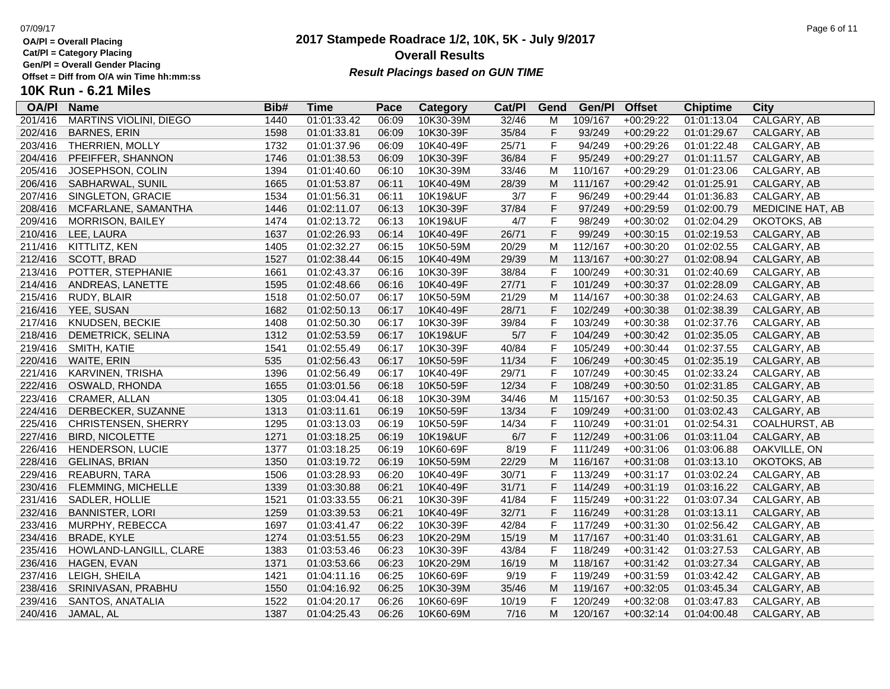**Cat/Pl = Category Placing**

**Gen/Pl = Overall Gender Placing**

# **10K Run - 6.21 Miles**

| <b>OA/PI</b> | <b>Name</b>                   | Bib# | Time        | Pace  | Category  | Cat/PI | Gend         | Gen/Pl  | <b>Offset</b> | <b>Chiptime</b> | City                 |
|--------------|-------------------------------|------|-------------|-------|-----------|--------|--------------|---------|---------------|-----------------|----------------------|
| 201/416      | <b>MARTINS VIOLINI, DIEGO</b> | 1440 | 01:01:33.42 | 06:09 | 10K30-39M | 32/46  | M            | 109/167 | +00:29:22     | 01:01:13.04     | CALGARY, AB          |
| 202/416      | <b>BARNES, ERIN</b>           | 1598 | 01:01:33.81 | 06:09 | 10K30-39F | 35/84  | F            | 93/249  | $+00:29:22$   | 01:01:29.67     | CALGARY, AB          |
| 203/416      | THERRIEN, MOLLY               | 1732 | 01:01:37.96 | 06:09 | 10K40-49F | 25/71  | F            | 94/249  | $+00:29:26$   | 01:01:22.48     | CALGARY, AB          |
| 204/416      | PFEIFFER, SHANNON             | 1746 | 01:01:38.53 | 06:09 | 10K30-39F | 36/84  | $\mathsf F$  | 95/249  | $+00:29:27$   | 01:01:11.57     | CALGARY, AB          |
| 205/416      | JOSEPHSON, COLIN              | 1394 | 01:01:40.60 | 06:10 | 10K30-39M | 33/46  | M            | 110/167 | +00:29:29     | 01:01:23.06     | CALGARY, AB          |
| 206/416      | SABHARWAL, SUNIL              | 1665 | 01:01:53.87 | 06:11 | 10K40-49M | 28/39  | M            | 111/167 | $+00:29:42$   | 01:01:25.91     | CALGARY, AB          |
| 207/416      | SINGLETON, GRACIE             | 1534 | 01:01:56.31 | 06:11 | 10K19&UF  | 3/7    | $\mathsf F$  | 96/249  | $+00:29:44$   | 01:01:36.83     | CALGARY, AB          |
| 208/416      | MCFARLANE, SAMANTHA           | 1446 | 01:02:11.07 | 06:13 | 10K30-39F | 37/84  | $\mathsf F$  | 97/249  | $+00:29:59$   | 01:02:00.79     | MEDICINE HAT, AB     |
| 209/416      | <b>MORRISON, BAILEY</b>       | 1474 | 01:02:13.72 | 06:13 | 10K19&UF  | 4/7    | $\mathsf F$  | 98/249  | $+00:30:02$   | 01:02:04.29     | OKOTOKS, AB          |
| 210/416      | LEE, LAURA                    | 1637 | 01:02:26.93 | 06:14 | 10K40-49F | 26/71  | $\mathsf F$  | 99/249  | $+00:30:15$   | 01:02:19.53     | CALGARY, AB          |
| 211/416      | KITTLITZ, KEN                 | 1405 | 01:02:32.27 | 06:15 | 10K50-59M | 20/29  | M            | 112/167 | $+00:30:20$   | 01:02:02.55     | CALGARY, AB          |
| 212/416      | SCOTT, BRAD                   | 1527 | 01:02:38.44 | 06:15 | 10K40-49M | 29/39  | M            | 113/167 | $+00:30:27$   | 01:02:08.94     | CALGARY, AB          |
| 213/416      | POTTER, STEPHANIE             | 1661 | 01:02:43.37 | 06:16 | 10K30-39F | 38/84  | $\mathsf{F}$ | 100/249 | $+00:30:31$   | 01:02:40.69     | CALGARY, AB          |
| 214/416      | ANDREAS, LANETTE              | 1595 | 01:02:48.66 | 06:16 | 10K40-49F | 27/71  | F            | 101/249 | $+00:30:37$   | 01:02:28.09     | CALGARY, AB          |
| 215/416      | RUDY, BLAIR                   | 1518 | 01:02:50.07 | 06:17 | 10K50-59M | 21/29  | М            | 114/167 | $+00:30:38$   | 01:02:24.63     | CALGARY, AB          |
| 216/416      | YEE, SUSAN                    | 1682 | 01:02:50.13 | 06:17 | 10K40-49F | 28/71  | $\mathsf F$  | 102/249 | $+00:30:38$   | 01:02:38.39     | CALGARY, AB          |
| 217/416      | KNUDSEN, BECKIE               | 1408 | 01:02:50.30 | 06:17 | 10K30-39F | 39/84  | $\mathsf F$  | 103/249 | $+00:30:38$   | 01:02:37.76     | CALGARY, AB          |
| 218/416      | DEMETRICK, SELINA             | 1312 | 01:02:53.59 | 06:17 | 10K19&UF  | 5/7    | $\mathsf{F}$ | 104/249 | $+00:30:42$   | 01:02:35.05     | CALGARY, AB          |
| 219/416      | <b>SMITH, KATIE</b>           | 1541 | 01:02:55.49 | 06:17 | 10K30-39F | 40/84  | $\mathsf{F}$ | 105/249 | $+00:30:44$   | 01:02:37.55     | CALGARY, AB          |
| 220/416      | WAITE, ERIN                   | 535  | 01:02:56.43 | 06:17 | 10K50-59F | 11/34  | $\mathsf F$  | 106/249 | $+00:30:45$   | 01:02:35.19     | CALGARY, AB          |
| 221/416      | KARVINEN, TRISHA              | 1396 | 01:02:56.49 | 06:17 | 10K40-49F | 29/71  | $\mathsf F$  | 107/249 | $+00:30:45$   | 01:02:33.24     | CALGARY, AB          |
| 222/416      | OSWALD, RHONDA                | 1655 | 01:03:01.56 | 06:18 | 10K50-59F | 12/34  | $\mathsf F$  | 108/249 | $+00:30:50$   | 01:02:31.85     | CALGARY, AB          |
| 223/416      | CRAMER, ALLAN                 | 1305 | 01:03:04.41 | 06:18 | 10K30-39M | 34/46  | M            | 115/167 | $+00:30:53$   | 01:02:50.35     | CALGARY, AB          |
| 224/416      | DERBECKER, SUZANNE            | 1313 | 01:03:11.61 | 06:19 | 10K50-59F | 13/34  | $\mathsf{F}$ | 109/249 | $+00:31:00$   | 01:03:02.43     | CALGARY, AB          |
| 225/416      | CHRISTENSEN, SHERRY           | 1295 | 01:03:13.03 | 06:19 | 10K50-59F | 14/34  | $\mathsf{F}$ | 110/249 | $+00:31:01$   | 01:02:54.31     | <b>COALHURST, AB</b> |
| 227/416      | <b>BIRD, NICOLETTE</b>        | 1271 | 01:03:18.25 | 06:19 | 10K19&UF  | 6/7    | $\mathsf F$  | 112/249 | $+00:31:06$   | 01:03:11.04     | CALGARY, AB          |
| 226/416      | <b>HENDERSON, LUCIE</b>       | 1377 | 01:03:18.25 | 06:19 | 10K60-69F | 8/19   | $\mathsf{F}$ | 111/249 | $+00:31:06$   | 01:03:06.88     | OAKVILLE, ON         |
| 228/416      | <b>GELINAS, BRIAN</b>         | 1350 | 01:03:19.72 | 06:19 | 10K50-59M | 22/29  | M            | 116/167 | $+00:31:08$   | 01:03:13.10     | OKOTOKS, AB          |
| 229/416      | REABURN, TARA                 | 1506 | 01:03:28.93 | 06:20 | 10K40-49F | 30/71  | $\mathsf F$  | 113/249 | $+00:31:17$   | 01:03:02.24     | CALGARY, AB          |
| 230/416      | FLEMMING, MICHELLE            | 1339 | 01:03:30.88 | 06:21 | 10K40-49F | 31/71  | $\mathsf{F}$ | 114/249 | $+00:31:19$   | 01:03:16.22     | CALGARY, AB          |
| 231/416      | SADLER, HOLLIE                | 1521 | 01:03:33.55 | 06:21 | 10K30-39F | 41/84  | $\mathsf{F}$ | 115/249 | $+00:31:22$   | 01:03:07.34     | CALGARY, AB          |
| 232/416      | <b>BANNISTER, LORI</b>        | 1259 | 01:03:39.53 | 06:21 | 10K40-49F | 32/71  | $\mathsf F$  | 116/249 | $+00:31:28$   | 01:03:13.11     | CALGARY, AB          |
| 233/416      | MURPHY, REBECCA               | 1697 | 01:03:41.47 | 06:22 | 10K30-39F | 42/84  | $\mathsf{F}$ | 117/249 | $+00:31:30$   | 01:02:56.42     | CALGARY, AB          |
| 234/416      | <b>BRADE, KYLE</b>            | 1274 | 01:03:51.55 | 06:23 | 10K20-29M | 15/19  | M            | 117/167 | $+00:31:40$   | 01:03:31.61     | CALGARY, AB          |
| 235/416      | HOWLAND-LANGILL, CLARE        | 1383 | 01:03:53.46 | 06:23 | 10K30-39F | 43/84  | $\mathsf{F}$ | 118/249 | $+00:31:42$   | 01:03:27.53     | CALGARY, AB          |
| 236/416      | HAGEN, EVAN                   | 1371 | 01:03:53.66 | 06:23 | 10K20-29M | 16/19  | M            | 118/167 | $+00:31:42$   | 01:03:27.34     | CALGARY, AB          |
| 237/416      | LEIGH, SHEILA                 | 1421 | 01:04:11.16 | 06:25 | 10K60-69F | 9/19   | $\mathsf{F}$ | 119/249 | $+00:31:59$   | 01:03:42.42     | CALGARY, AB          |
| 238/416      | SRINIVASAN, PRABHU            | 1550 | 01:04:16.92 | 06:25 | 10K30-39M | 35/46  | M            | 119/167 | $+00:32:05$   | 01:03:45.34     | CALGARY, AB          |
| 239/416      | SANTOS, ANATALIA              | 1522 | 01:04:20.17 | 06:26 | 10K60-69F | 10/19  | $\mathsf F$  | 120/249 | $+00:32:08$   | 01:03:47.83     | CALGARY, AB          |
| 240/416      | JAMAL, AL                     | 1387 | 01:04:25.43 | 06:26 | 10K60-69M | 7/16   | м            | 120/167 | $+00:32:14$   | 01:04:00.48     | CALGARY, AB          |

### **2017 Stampede Roadrace 1/2, 10K, 5K - July 9/2017** 07/09/17 Page 6 of 11 **Overall Results Result Placings based on GUN TIME**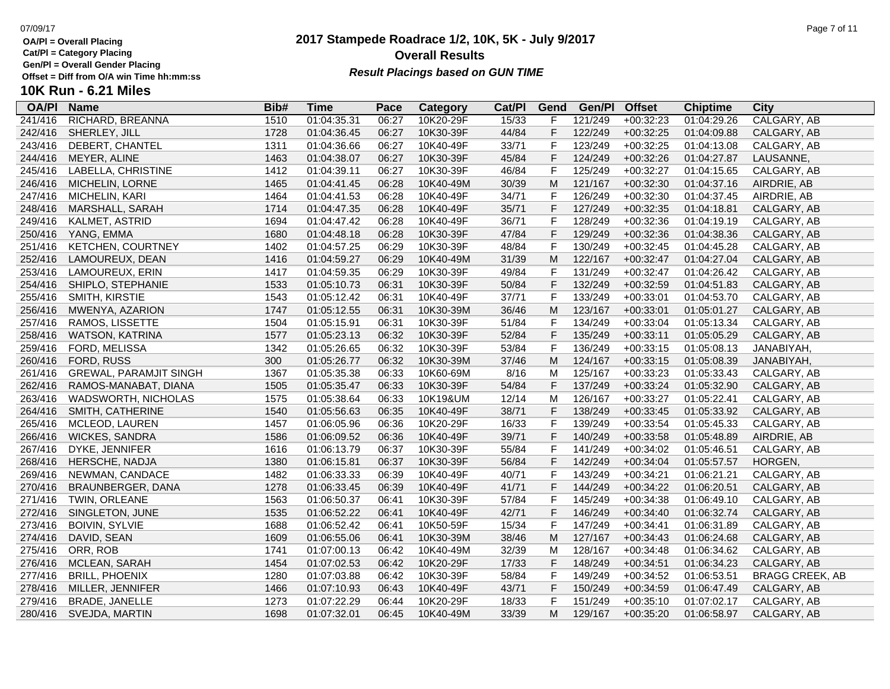**Cat/Pl = Category Placing**

**Gen/Pl = Overall Gender Placing**

# **10K Run - 6.21 Miles**

| <b>OA/PI</b> | <b>Name</b>                   | Bib# | Time        | Pace  | Category  | Cat/PI | Gend         | Gen/Pl  | <b>Offset</b> | <b>Chiptime</b> | City                   |
|--------------|-------------------------------|------|-------------|-------|-----------|--------|--------------|---------|---------------|-----------------|------------------------|
| 241/416      | RICHARD, BREANNA              | 1510 | 01:04:35.31 | 06:27 | 10K20-29F | 15/33  | F            | 121/249 | $+00:32:23$   | 01:04:29.26     | CALGARY, AB            |
| 242/416      | SHERLEY, JILL                 | 1728 | 01:04:36.45 | 06:27 | 10K30-39F | 44/84  | $\mathsf F$  | 122/249 | $+00:32:25$   | 01:04:09.88     | CALGARY, AB            |
| 243/416      | DEBERT, CHANTEL               | 1311 | 01:04:36.66 | 06:27 | 10K40-49F | 33/71  | $\mathsf{F}$ | 123/249 | $+00:32:25$   | 01:04:13.08     | CALGARY, AB            |
| 244/416      | MEYER, ALINE                  | 1463 | 01:04:38.07 | 06:27 | 10K30-39F | 45/84  | F            | 124/249 | $+00:32:26$   | 01:04:27.87     | LAUSANNE               |
| 245/416      | LABELLA, CHRISTINE            | 1412 | 01:04:39.11 | 06:27 | 10K30-39F | 46/84  | $\mathsf F$  | 125/249 | $+00:32:27$   | 01:04:15.65     | CALGARY, AB            |
| 246/416      | MICHELIN, LORNE               | 1465 | 01:04:41.45 | 06:28 | 10K40-49M | 30/39  | M            | 121/167 | $+00:32:30$   | 01:04:37.16     | AIRDRIE, AB            |
| 247/416      | MICHELIN, KARI                | 1464 | 01:04:41.53 | 06:28 | 10K40-49F | 34/71  | F            | 126/249 | $+00:32:30$   | 01:04:37.45     | AIRDRIE, AB            |
| 248/416      | MARSHALL, SARAH               | 1714 | 01:04:47.35 | 06:28 | 10K40-49F | 35/71  | $\mathsf F$  | 127/249 | $+00:32:35$   | 01:04:18.81     | CALGARY, AB            |
| 249/416      | KALMET, ASTRID                | 1694 | 01:04:47.42 | 06:28 | 10K40-49F | 36/71  | $\mathsf F$  | 128/249 | $+00:32:36$   | 01:04:19.19     | CALGARY, AB            |
| 250/416      | YANG, EMMA                    | 1680 | 01:04:48.18 | 06:28 | 10K30-39F | 47/84  | F            | 129/249 | $+00:32:36$   | 01:04:38.36     | CALGARY, AB            |
| 251/416      | <b>KETCHEN, COURTNEY</b>      | 1402 | 01:04:57.25 | 06:29 | 10K30-39F | 48/84  | $\mathsf F$  | 130/249 | $+00:32:45$   | 01:04:45.28     | CALGARY, AB            |
| 252/416      | LAMOUREUX, DEAN               | 1416 | 01:04:59.27 | 06:29 | 10K40-49M | 31/39  | M            | 122/167 | $+00:32:47$   | 01:04:27.04     | CALGARY, AB            |
| 253/416      | LAMOUREUX, ERIN               | 1417 | 01:04:59.35 | 06:29 | 10K30-39F | 49/84  | F            | 131/249 | $+00:32:47$   | 01:04:26.42     | CALGARY, AB            |
| 254/416      | SHIPLO, STEPHANIE             | 1533 | 01:05:10.73 | 06:31 | 10K30-39F | 50/84  | F            | 132/249 | $+00:32:59$   | 01:04:51.83     | CALGARY, AB            |
| 255/416      | SMITH, KIRSTIE                | 1543 | 01:05:12.42 | 06:31 | 10K40-49F | 37/71  | F            | 133/249 | $+00:33:01$   | 01:04:53.70     | CALGARY, AB            |
| 256/416      | MWENYA, AZARION               | 1747 | 01:05:12.55 | 06:31 | 10K30-39M | 36/46  | M            | 123/167 | $+00:33:01$   | 01:05:01.27     | CALGARY, AB            |
| 257/416      | RAMOS, LISSETTE               | 1504 | 01:05:15.91 | 06:31 | 10K30-39F | 51/84  | F            | 134/249 | $+00:33:04$   | 01:05:13.34     | CALGARY, AB            |
| 258/416      | WATSON, KATRINA               | 1577 | 01:05:23.13 | 06:32 | 10K30-39F | 52/84  | F            | 135/249 | $+00:33:11$   | 01:05:05.29     | CALGARY, AB            |
| 259/416      | FORD, MELISSA                 | 1342 | 01:05:26.65 | 06:32 | 10K30-39F | 53/84  | $\mathsf F$  | 136/249 | $+00:33:15$   | 01:05:08.13     | JANABIYAH,             |
| 260/416      | FORD, RUSS                    | 300  | 01:05:26.77 | 06:32 | 10K30-39M | 37/46  | M            | 124/167 | $+00:33:15$   | 01:05:08.39     | JANABIYAH,             |
| 261/416      | <b>GREWAL, PARAMJIT SINGH</b> | 1367 | 01:05:35.38 | 06:33 | 10K60-69M | 8/16   | M            | 125/167 | $+00:33:23$   | 01:05:33.43     | CALGARY, AB            |
| 262/416      | RAMOS-MANABAT, DIANA          | 1505 | 01:05:35.47 | 06:33 | 10K30-39F | 54/84  | F            | 137/249 | $+00:33:24$   | 01:05:32.90     | CALGARY, AB            |
| 263/416      | <b>WADSWORTH, NICHOLAS</b>    | 1575 | 01:05:38.64 | 06:33 | 10K19&UM  | 12/14  | M            | 126/167 | $+00:33:27$   | 01:05:22.41     | CALGARY, AB            |
| 264/416      | SMITH, CATHERINE              | 1540 | 01:05:56.63 | 06:35 | 10K40-49F | 38/71  | $\mathsf F$  | 138/249 | $+00:33:45$   | 01:05:33.92     | CALGARY, AB            |
| 265/416      | MCLEOD, LAUREN                | 1457 | 01:06:05.96 | 06:36 | 10K20-29F | 16/33  | F            | 139/249 | $+00:33:54$   | 01:05:45.33     | CALGARY, AB            |
| 266/416      | <b>WICKES, SANDRA</b>         | 1586 | 01:06:09.52 | 06:36 | 10K40-49F | 39/71  | $\mathsf F$  | 140/249 | $+00:33:58$   | 01:05:48.89     | AIRDRIE, AB            |
| 267/416      | DYKE, JENNIFER                | 1616 | 01:06:13.79 | 06:37 | 10K30-39F | 55/84  | $\mathsf F$  | 141/249 | $+00:34:02$   | 01:05:46.51     | CALGARY, AB            |
| 268/416      | HERSCHE, NADJA                | 1380 | 01:06:15.81 | 06:37 | 10K30-39F | 56/84  | F            | 142/249 | $+00:34:04$   | 01:05:57.57     | HORGEN,                |
| 269/416      | NEWMAN, CANDACE               | 1482 | 01:06:33.33 | 06:39 | 10K40-49F | 40/71  | $\mathsf{F}$ | 143/249 | $+00:34:21$   | 01:06:21.21     | CALGARY, AB            |
| 270/416      | BRAUNBERGER, DANA             | 1278 | 01:06:33.45 | 06:39 | 10K40-49F | 41/71  | F            | 144/249 | $+00:34:22$   | 01:06:20.51     | CALGARY, AB            |
| 271/416      | TWIN, ORLEANE                 | 1563 | 01:06:50.37 | 06:41 | 10K30-39F | 57/84  | $\mathsf F$  | 145/249 | $+00:34:38$   | 01:06:49.10     | CALGARY, AB            |
| 272/416      | SINGLETON, JUNE               | 1535 | 01:06:52.22 | 06:41 | 10K40-49F | 42/71  | $\mathsf F$  | 146/249 | $+00:34:40$   | 01:06:32.74     | CALGARY, AB            |
| 273/416      | <b>BOIVIN, SYLVIE</b>         | 1688 | 01:06:52.42 | 06:41 | 10K50-59F | 15/34  | $\mathsf F$  | 147/249 | $+00:34:41$   | 01:06:31.89     | CALGARY, AB            |
| 274/416      | DAVID, SEAN                   | 1609 | 01:06:55.06 | 06:41 | 10K30-39M | 38/46  | M            | 127/167 | $+00:34:43$   | 01:06:24.68     | CALGARY, AB            |
| 275/416      | ORR, ROB                      | 1741 | 01:07:00.13 | 06:42 | 10K40-49M | 32/39  | M            | 128/167 | $+00:34:48$   | 01:06:34.62     | CALGARY, AB            |
| 276/416      | MCLEAN, SARAH                 | 1454 | 01:07:02.53 | 06:42 | 10K20-29F | 17/33  | F            | 148/249 | $+00:34:51$   | 01:06:34.23     | CALGARY, AB            |
| 277/416      | <b>BRILL, PHOENIX</b>         | 1280 | 01:07:03.88 | 06:42 | 10K30-39F | 58/84  | F            | 149/249 | $+00:34:52$   | 01:06:53.51     | <b>BRAGG CREEK, AB</b> |
| 278/416      | MILLER, JENNIFER              | 1466 | 01:07:10.93 | 06:43 | 10K40-49F | 43/71  | F            | 150/249 | $+00:34:59$   | 01:06:47.49     | CALGARY, AB            |
| 279/416      | <b>BRADE, JANELLE</b>         | 1273 | 01:07:22.29 | 06:44 | 10K20-29F | 18/33  | $\mathsf F$  | 151/249 | $+00:35:10$   | 01:07:02.17     | CALGARY, AB            |
| 280/416      | SVEJDA, MARTIN                | 1698 | 01:07:32.01 | 06:45 | 10K40-49M | 33/39  | M            | 129/167 | $+00:35:20$   | 01:06:58.97     | CALGARY, AB            |

### **2017 Stampede Roadrace 1/2, 10K, 5K - July 9/2017** 07/09/17 Page 7 of 11 **Overall Results Result Placings based on GUN TIME**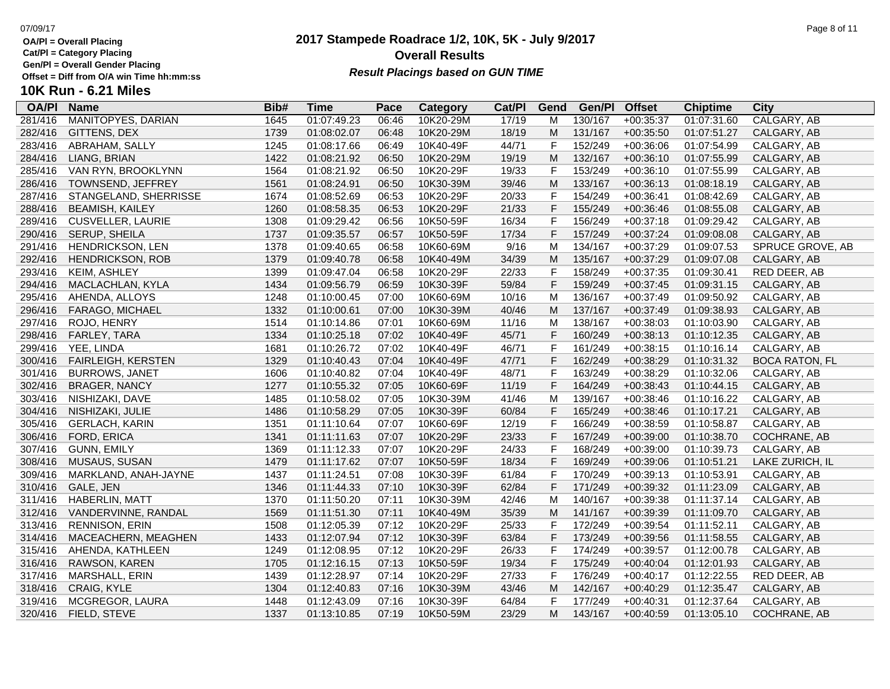**Cat/Pl = Category Placing**

**Gen/Pl = Overall Gender Placing**

### **2017 Stampede Roadrace 1/2, 10K, 5K - July 9/2017 Overall Results Result Placings based on GUN TIME**

### 07/09/17 Page 8 of 11

| <b>OA/PI</b> | <b>Name</b>               | Bib# | Time        | Pace  | Category  | Cat/PI | Gend         | Gen/Pl  | <b>Offset</b> | <b>Chiptime</b> | City                  |
|--------------|---------------------------|------|-------------|-------|-----------|--------|--------------|---------|---------------|-----------------|-----------------------|
| 281/416      | <b>MANITOPYES, DARIAN</b> | 1645 | 01:07:49.23 | 06:46 | 10K20-29M | 17/19  | M            | 130/167 | $+00:35:37$   | 01:07:31.60     | CALGARY, AB           |
| 282/416      | GITTENS, DEX              | 1739 | 01:08:02.07 | 06:48 | 10K20-29M | 18/19  | M            | 131/167 | $+00:35:50$   | 01:07:51.27     | CALGARY, AB           |
| 283/416      | ABRAHAM, SALLY            | 1245 | 01:08:17.66 | 06:49 | 10K40-49F | 44/71  | F            | 152/249 | $+00:36:06$   | 01:07:54.99     | CALGARY, AB           |
| 284/416      | LIANG, BRIAN              | 1422 | 01:08:21.92 | 06:50 | 10K20-29M | 19/19  | M            | 132/167 | $+00:36:10$   | 01:07:55.99     | CALGARY, AB           |
| 285/416      | VAN RYN, BROOKLYNN        | 1564 | 01:08:21.92 | 06:50 | 10K20-29F | 19/33  | F            | 153/249 | $+00:36:10$   | 01:07:55.99     | CALGARY, AB           |
| 286/416      | TOWNSEND, JEFFREY         | 1561 | 01:08:24.91 | 06:50 | 10K30-39M | 39/46  | M            | 133/167 | $+00:36:13$   | 01:08:18.19     | CALGARY, AB           |
| 287/416      | STANGELAND, SHERRISSE     | 1674 | 01:08:52.69 | 06:53 | 10K20-29F | 20/33  | $\mathsf F$  | 154/249 | $+00:36:41$   | 01:08:42.69     | CALGARY, AB           |
| 288/416      | <b>BEAMISH, KAILEY</b>    | 1260 | 01:08:58.35 | 06:53 | 10K20-29F | 21/33  | $\mathsf F$  | 155/249 | $+00:36:46$   | 01:08:55.08     | CALGARY, AB           |
| 289/416      | <b>CUSVELLER, LAURIE</b>  | 1308 | 01:09:29.42 | 06:56 | 10K50-59F | 16/34  | $\mathsf F$  | 156/249 | $+00:37:18$   | 01:09:29.42     | CALGARY, AB           |
| 290/416      | SERUP, SHEILA             | 1737 | 01:09:35.57 | 06:57 | 10K50-59F | 17/34  | F            | 157/249 | $+00:37:24$   | 01:09:08.08     | CALGARY, AB           |
| 291/416      | HENDRICKSON, LEN          | 1378 | 01:09:40.65 | 06:58 | 10K60-69M | 9/16   | M            | 134/167 | $+00:37:29$   | 01:09:07.53     | SPRUCE GROVE, AB      |
| 292/416      | <b>HENDRICKSON, ROB</b>   | 1379 | 01:09:40.78 | 06:58 | 10K40-49M | 34/39  | M            | 135/167 | $+00:37:29$   | 01:09:07.08     | CALGARY, AB           |
| 293/416      | KEIM, ASHLEY              | 1399 | 01:09:47.04 | 06:58 | 10K20-29F | 22/33  | F            | 158/249 | $+00:37:35$   | 01:09:30.41     | RED DEER, AB          |
| 294/416      | MACLACHLAN, KYLA          | 1434 | 01:09:56.79 | 06:59 | 10K30-39F | 59/84  | F            | 159/249 | $+00:37:45$   | 01:09:31.15     | CALGARY, AB           |
| 295/416      | AHENDA, ALLOYS            | 1248 | 01:10:00.45 | 07:00 | 10K60-69M | 10/16  | M            | 136/167 | $+00:37:49$   | 01:09:50.92     | CALGARY, AB           |
| 296/416      | FARAGO, MICHAEL           | 1332 | 01:10:00.61 | 07:00 | 10K30-39M | 40/46  | M            | 137/167 | $+00:37:49$   | 01:09:38.93     | CALGARY, AB           |
| 297/416      | ROJO, HENRY               | 1514 | 01:10:14.86 | 07:01 | 10K60-69M | 11/16  | M            | 138/167 | $+00:38:03$   | 01:10:03.90     | CALGARY, AB           |
| 298/416      | FARLEY, TARA              | 1334 | 01:10:25.18 | 07:02 | 10K40-49F | 45/71  | F            | 160/249 | $+00:38:13$   | 01:10:12.35     | CALGARY, AB           |
| 299/416      | YEE, LINDA                | 1681 | 01:10:26.72 | 07:02 | 10K40-49F | 46/71  | $\mathsf F$  | 161/249 | $+00:38:15$   | 01:10:16.14     | CALGARY, AB           |
| 300/416      | <b>FAIRLEIGH, KERSTEN</b> | 1329 | 01:10:40.43 | 07:04 | 10K40-49F | 47/71  | F            | 162/249 | $+00:38:29$   | 01:10:31.32     | <b>BOCA RATON, FL</b> |
| 301/416      | <b>BURROWS, JANET</b>     | 1606 | 01:10:40.82 | 07:04 | 10K40-49F | 48/71  | $\mathsf{F}$ | 163/249 | $+00:38:29$   | 01:10:32.06     | CALGARY, AB           |
| 302/416      | <b>BRAGER, NANCY</b>      | 1277 | 01:10:55.32 | 07:05 | 10K60-69F | 11/19  | $\mathsf F$  | 164/249 | $+00:38:43$   | 01:10:44.15     | CALGARY, AB           |
| 303/416      | NISHIZAKI, DAVE           | 1485 | 01:10:58.02 | 07:05 | 10K30-39M | 41/46  | M            | 139/167 | $+00:38:46$   | 01:10:16.22     | CALGARY, AB           |
| 304/416      | NISHIZAKI, JULIE          | 1486 | 01:10:58.29 | 07:05 | 10K30-39F | 60/84  | F            | 165/249 | $+00:38:46$   | 01:10:17.21     | CALGARY, AB           |
| 305/416      | <b>GERLACH, KARIN</b>     | 1351 | 01:11:10.64 | 07:07 | 10K60-69F | 12/19  | F            | 166/249 | $+00:38:59$   | 01:10:58.87     | CALGARY, AB           |
| 306/416      | FORD, ERICA               | 1341 | 01:11:11.63 | 07:07 | 10K20-29F | 23/33  | $\mathsf F$  | 167/249 | $+00:39:00$   | 01:10:38.70     | COCHRANE, AB          |
| 307/416      | <b>GUNN, EMILY</b>        | 1369 | 01:11:12.33 | 07:07 | 10K20-29F | 24/33  | $\mathsf F$  | 168/249 | $+00:39:00$   | 01:10:39.73     | CALGARY, AB           |
| 308/416      | MUSAUS, SUSAN             | 1479 | 01:11:17.62 | 07:07 | 10K50-59F | 18/34  | $\mathsf F$  | 169/249 | $+00:39:06$   | 01:10:51.21     | LAKE ZURICH, IL       |
| 309/416      | MARKLAND, ANAH-JAYNE      | 1437 | 01:11:24.51 | 07:08 | 10K30-39F | 61/84  | $\mathsf F$  | 170/249 | $+00:39:13$   | 01:10:53.91     | CALGARY, AB           |
| 310/416      | GALE, JEN                 | 1346 | 01:11:44.33 | 07:10 | 10K30-39F | 62/84  | F            | 171/249 | $+00:39:32$   | 01:11:23.09     | CALGARY, AB           |
| 311/416      | <b>HABERLIN, MATT</b>     | 1370 | 01:11:50.20 | 07:11 | 10K30-39M | 42/46  | M            | 140/167 | $+00:39:38$   | 01:11:37.14     | CALGARY, AB           |
| 312/416      | VANDERVINNE, RANDAL       | 1569 | 01:11:51.30 | 07:11 | 10K40-49M | 35/39  | M            | 141/167 | $+00:39:39$   | 01:11:09.70     | CALGARY, AB           |
| 313/416      | <b>RENNISON, ERIN</b>     | 1508 | 01:12:05.39 | 07:12 | 10K20-29F | 25/33  | F            | 172/249 | $+00:39:54$   | 01:11:52.11     | CALGARY, AB           |
| 314/416      | MACEACHERN, MEAGHEN       | 1433 | 01:12:07.94 | 07:12 | 10K30-39F | 63/84  | F            | 173/249 | $+00:39:56$   | 01:11:58.55     | CALGARY, AB           |
| 315/416      | AHENDA, KATHLEEN          | 1249 | 01:12:08.95 | 07:12 | 10K20-29F | 26/33  | $\mathsf{F}$ | 174/249 | $+00:39:57$   | 01:12:00.78     | CALGARY, AB           |
| 316/416      | RAWSON, KAREN             | 1705 | 01:12:16.15 | 07:13 | 10K50-59F | 19/34  | $\mathsf F$  | 175/249 | $+00:40:04$   | 01:12:01.93     | CALGARY, AB           |
| 317/416      | MARSHALL, ERIN            | 1439 | 01:12:28.97 | 07:14 | 10K20-29F | 27/33  | $\mathsf F$  | 176/249 | $+00:40:17$   | 01:12:22.55     | RED DEER, AB          |
| 318/416      | CRAIG, KYLE               | 1304 | 01:12:40.83 | 07:16 | 10K30-39M | 43/46  | M            | 142/167 | $+00:40:29$   | 01:12:35.47     | CALGARY, AB           |
| 319/416      | MCGREGOR, LAURA           | 1448 | 01:12:43.09 | 07:16 | 10K30-39F | 64/84  | F            | 177/249 | $+00:40:31$   | 01:12:37.64     | CALGARY, AB           |
| 320/416      | FIELD, STEVE              | 1337 | 01:13:10.85 | 07:19 | 10K50-59M | 23/29  | M            | 143/167 | $+00:40:59$   | 01:13:05.10     | COCHRANE, AB          |
|              |                           |      |             |       |           |        |              |         |               |                 |                       |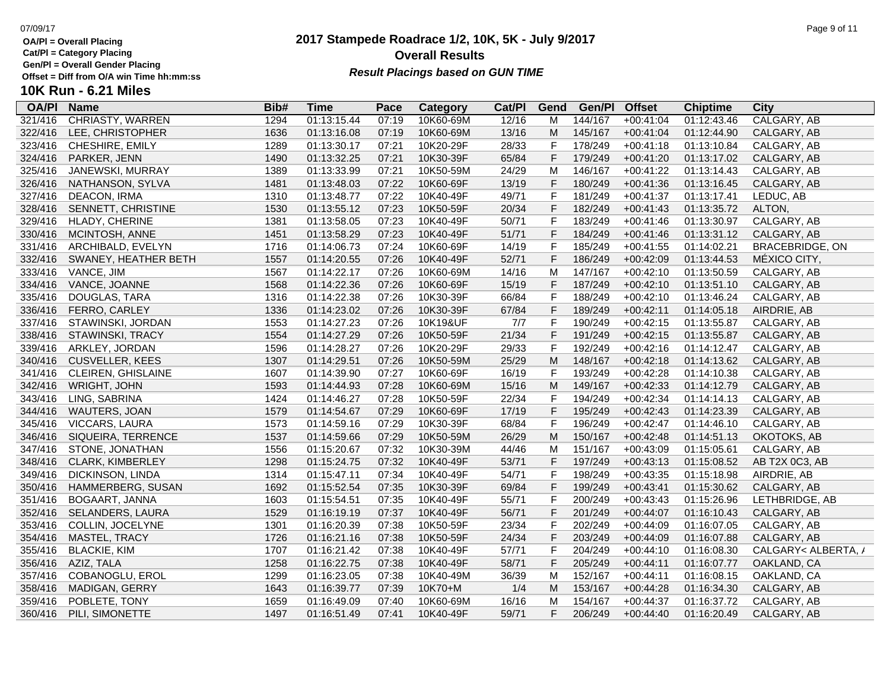**Cat/Pl = Category Placing**

**Gen/Pl = Overall Gender Placing**

**10K Run - 6.21 Miles**

### **2017 Stampede Roadrace 1/2, 10K, 5K - July 9/2017** 07/09/17 Page 9 of 11 **Overall Results** Gen/PI = Overall Gender Placing<br>Offset = Diff from O/A win Time hh:mm:ss *Result Placings based on GUN TIME*

| <b>OA/PI</b> | <b>Name</b>               | Bib# | <b>Time</b> | Pace  | Category  | Cat/PI | Gend           | Gen/Pl  | <b>Offset</b> | <b>Chiptime</b> | <b>City</b>            |
|--------------|---------------------------|------|-------------|-------|-----------|--------|----------------|---------|---------------|-----------------|------------------------|
| 321/416      | <b>CHRIASTY, WARREN</b>   | 1294 | 01:13:15.44 | 07:19 | 10K60-69M | 12/16  | M              | 144/167 | $+00:41:04$   | 01:12:43.46     | <b>CALGARY, AB</b>     |
| 322/416      | LEE, CHRISTOPHER          | 1636 | 01:13:16.08 | 07:19 | 10K60-69M | 13/16  | M              | 145/167 | $+00:41:04$   | 01:12:44.90     | CALGARY, AB            |
| 323/416      | CHESHIRE, EMILY           | 1289 | 01:13:30.17 | 07:21 | 10K20-29F | 28/33  | F              | 178/249 | $+00:41:18$   | 01:13:10.84     | CALGARY, AB            |
| 324/416      | PARKER, JENN              | 1490 | 01:13:32.25 | 07:21 | 10K30-39F | 65/84  | F              | 179/249 | $+00:41:20$   | 01:13:17.02     | CALGARY, AB            |
| 325/416      | JANEWSKI, MURRAY          | 1389 | 01:13:33.99 | 07:21 | 10K50-59M | 24/29  | M              | 146/167 | $+00:41:22$   | 01:13:14.43     | CALGARY, AB            |
| 326/416      | NATHANSON, SYLVA          | 1481 | 01:13:48.03 | 07:22 | 10K60-69F | 13/19  | F              | 180/249 | $+00:41:36$   | 01:13:16.45     | CALGARY, AB            |
| 327/416      | DEACON, IRMA              | 1310 | 01:13:48.77 | 07:22 | 10K40-49F | 49/71  | F              | 181/249 | $+00:41:37$   | 01:13:17.41     | LEDUC, AB              |
| 328/416      | SENNETT, CHRISTINE        | 1530 | 01:13:55.12 | 07:23 | 10K50-59F | 20/34  | F              | 182/249 | $+00:41:43$   | 01:13:35.72     | ALTON,                 |
| 329/416      | <b>HLADY, CHERINE</b>     | 1381 | 01:13:58.05 | 07:23 | 10K40-49F | 50/71  | $\mathsf F$    | 183/249 | $+00:41:46$   | 01:13:30.97     | CALGARY, AB            |
| 330/416      | MCINTOSH, ANNE            | 1451 | 01:13:58.29 | 07:23 | 10K40-49F | 51/71  | $\mathsf{F}$   | 184/249 | $+00:41:46$   | 01:13:31.12     | CALGARY, AB            |
| 331/416      | ARCHIBALD, EVELYN         | 1716 | 01:14:06.73 | 07:24 | 10K60-69F | 14/19  | F              | 185/249 | $+00:41:55$   | 01:14:02.21     | <b>BRACEBRIDGE, ON</b> |
| 332/416      | SWANEY, HEATHER BETH      | 1557 | 01:14:20.55 | 07:26 | 10K40-49F | 52/71  | F              | 186/249 | $+00:42:09$   | 01:13:44.53     | MÉXICO CITY,           |
| 333/416      | VANCE, JIM                | 1567 | 01:14:22.17 | 07:26 | 10K60-69M | 14/16  | M              | 147/167 | $+00:42:10$   | 01:13:50.59     | CALGARY, AB            |
| 334/416      | VANCE, JOANNE             | 1568 | 01:14:22.36 | 07:26 | 10K60-69F | 15/19  | F              | 187/249 | $+00:42:10$   | 01:13:51.10     | CALGARY, AB            |
| 335/416      | DOUGLAS, TARA             | 1316 | 01:14:22.38 | 07:26 | 10K30-39F | 66/84  | F              | 188/249 | $+00:42:10$   | 01:13:46.24     | CALGARY, AB            |
| 336/416      | FERRO, CARLEY             | 1336 | 01:14:23.02 | 07:26 | 10K30-39F | 67/84  | $\mathsf{F}$   | 189/249 | $+00:42:11$   | 01:14:05.18     | AIRDRIE, AB            |
| 337/416      | STAWINSKI, JORDAN         | 1553 | 01:14:27.23 | 07:26 | 10K19&UF  | 7/7    | F              | 190/249 | $+00:42:15$   | 01:13:55.87     | CALGARY, AB            |
| 338/416      | STAWINSKI, TRACY          | 1554 | 01:14:27.29 | 07:26 | 10K50-59F | 21/34  | $\mathsf F$    | 191/249 | $+00:42:15$   | 01:13:55.87     | CALGARY, AB            |
| 339/416      | ARKLEY, JORDAN            | 1596 | 01:14:28.27 | 07:26 | 10K20-29F | 29/33  | $\overline{F}$ | 192/249 | $+00:42:16$   | 01:14:12.47     | CALGARY, AB            |
| 340/416      | <b>CUSVELLER, KEES</b>    | 1307 | 01:14:29.51 | 07:26 | 10K50-59M | 25/29  | M              | 148/167 | $+00:42:18$   | 01:14:13.62     | CALGARY, AB            |
| 341/416      | <b>CLEIREN, GHISLAINE</b> | 1607 | 01:14:39.90 | 07:27 | 10K60-69F | 16/19  | $\mathsf{F}$   | 193/249 | $+00:42:28$   | 01:14:10.38     | CALGARY, AB            |
| 342/416      | WRIGHT, JOHN              | 1593 | 01:14:44.93 | 07:28 | 10K60-69M | 15/16  | M              | 149/167 | $+00:42:33$   | 01:14:12.79     | CALGARY, AB            |
| 343/416      | LING, SABRINA             | 1424 | 01:14:46.27 | 07:28 | 10K50-59F | 22/34  | $\mathsf F$    | 194/249 | $+00:42:34$   | 01:14:14.13     | CALGARY, AB            |
| 344/416      | WAUTERS, JOAN             | 1579 | 01:14:54.67 | 07:29 | 10K60-69F | 17/19  | $\mathsf{F}$   | 195/249 | $+00:42:43$   | 01:14:23.39     | CALGARY, AB            |
| 345/416      | VICCARS, LAURA            | 1573 | 01:14:59.16 | 07:29 | 10K30-39F | 68/84  | $\mathsf{F}$   | 196/249 | $+00:42:47$   | 01:14:46.10     | CALGARY, AB            |
| 346/416      | SIQUEIRA, TERRENCE        | 1537 | 01:14:59.66 | 07:29 | 10K50-59M | 26/29  | M              | 150/167 | $+00:42:48$   | 01:14:51.13     | OKOTOKS, AB            |
| 347/416      | STONE, JONATHAN           | 1556 | 01:15:20.67 | 07:32 | 10K30-39M | 44/46  | M              | 151/167 | $+00:43:09$   | 01:15:05.61     | CALGARY, AB            |
| 348/416      | CLARK, KIMBERLEY          | 1298 | 01:15:24.75 | 07:32 | 10K40-49F | 53/71  | $\mathsf F$    | 197/249 | $+00:43:13$   | 01:15:08.52     | AB T2X 0C3, AB         |
| 349/416      | DICKINSON, LINDA          | 1314 | 01:15:47.11 | 07:34 | 10K40-49F | 54/71  | $\mathsf{F}$   | 198/249 | $+00:43:35$   | 01:15:18.98     | AIRDRIE, AB            |
| 350/416      | HAMMERBERG, SUSAN         | 1692 | 01:15:52.54 | 07:35 | 10K30-39F | 69/84  | $\overline{F}$ | 199/249 | $+00:43:41$   | 01:15:30.62     | CALGARY, AB            |
| 351/416      | <b>BOGAART, JANNA</b>     | 1603 | 01:15:54.51 | 07:35 | 10K40-49F | 55/71  | $\mathsf{F}$   | 200/249 | $+00:43:43$   | 01:15:26.96     | LETHBRIDGE, AB         |
| 352/416      | SELANDERS, LAURA          | 1529 | 01:16:19.19 | 07:37 | 10K40-49F | 56/71  | $\mathsf{F}$   | 201/249 | $+00:44:07$   | 01:16:10.43     | CALGARY, AB            |
| 353/416      | COLLIN, JOCELYNE          | 1301 | 01:16:20.39 | 07:38 | 10K50-59F | 23/34  | F              | 202/249 | $+00:44:09$   | 01:16:07.05     | CALGARY, AB            |
| 354/416      | MASTEL, TRACY             | 1726 | 01:16:21.16 | 07:38 | 10K50-59F | 24/34  | $\mathsf F$    | 203/249 | $+00:44:09$   | 01:16:07.88     | CALGARY, AB            |
| 355/416      | <b>BLACKIE, KIM</b>       | 1707 | 01:16:21.42 | 07:38 | 10K40-49F | 57/71  | F              | 204/249 | $+00:44:10$   | 01:16:08.30     | CALGARY< ALBERTA, /    |
| 356/416      | AZIZ, TALA                | 1258 | 01:16:22.75 | 07:38 | 10K40-49F | 58/71  | $\mathsf{F}$   | 205/249 | $+00:44:11$   | 01:16:07.77     | OAKLAND, CA            |
| 357/416      | COBANOGLU, EROL           | 1299 | 01:16:23.05 | 07:38 | 10K40-49M | 36/39  | M              | 152/167 | $+00:44:11$   | 01:16:08.15     | OAKLAND, CA            |
| 358/416      | MADIGAN, GERRY            | 1643 | 01:16:39.77 | 07:39 | 10K70+M   | 1/4    | M              | 153/167 | $+00:44:28$   | 01:16:34.30     | CALGARY, AB            |
| 359/416      | POBLETE, TONY             | 1659 | 01:16:49.09 | 07:40 | 10K60-69M | 16/16  | M              | 154/167 | $+00:44:37$   | 01:16:37.72     | CALGARY, AB            |
| 360/416      | PILI, SIMONETTE           | 1497 | 01:16:51.49 | 07:41 | 10K40-49F | 59/71  | F              | 206/249 | $+00:44:40$   | 01:16:20.49     | CALGARY, AB            |
|              |                           |      |             |       |           |        |                |         |               |                 |                        |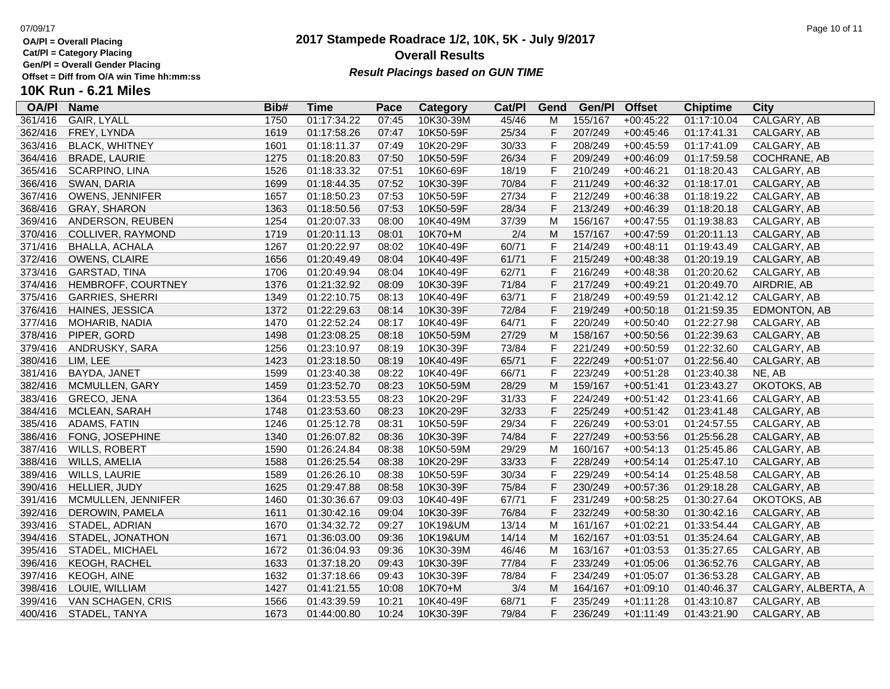361/416 GAIR, LYALL

**OA/Pl Name Bib# Time Category Cat/Pl Gen/Pl**

**Cat/Pl = Category Placing**

**Gen/Pl = Overall Gender Placing**

### **Offset = Diff from O/A win Time hh:mm:ss 10K Run - 6.21 Miles**

|         |             |                      | <b>Overall Results</b><br><b>Result Placings based on GUN TIME</b> |        |                          |          |                      |                 |                |
|---------|-------------|----------------------|--------------------------------------------------------------------|--------|--------------------------|----------|----------------------|-----------------|----------------|
| Bib#    | Time        | Pace                 | Category                                                           | Cat/PI | Gend                     | Gen/Pl   | <b>Offset</b>        | <b>Chiptime</b> | City           |
| 1750    | 01:17:34.22 | 07:45                | 10K30-39M                                                          | 45/46  | м                        | 155/167  | $+00:45:22$          | 01:17:10.04     | CALGARY, AB    |
| 1619    | 01:17:58.26 | 07:47                | 10K50-59F                                                          | 25/34  | F.                       | 207/249  | $+00:45:46$          | 01:17:41.31     | CALGARY, AB    |
| 1601    | 01:18:11.37 | 07:49                | 10K20-29F                                                          | 30/33  | F.                       | 208/249  | $+00:45:59$          | 01:17:41.09     | CALGARY, AB    |
| $107 -$ | 0.1100000   | $\sim$ $\sim$ $\sim$ | 10175050                                                           | 0.04   | $\overline{\phantom{0}}$ | 0.001010 | $\sim$ $\sim$ $\sim$ | 21.17727        | 0.0011011E1E1D |

| 362/416 | FREY, LYNDA            | 1619 | 01:17:58.26 | 07:47 | 10K50-59F | 25/34 | F | 207/249 | $+00:45:46$ | 01:17:41.31 | CALGARY, AB         |
|---------|------------------------|------|-------------|-------|-----------|-------|---|---------|-------------|-------------|---------------------|
| 363/416 | <b>BLACK, WHITNEY</b>  | 1601 | 01:18:11.37 | 07:49 | 10K20-29F | 30/33 | F | 208/249 | $+00:45:59$ | 01:17:41.09 | CALGARY, AB         |
| 364/416 | <b>BRADE, LAURIE</b>   | 1275 | 01:18:20.83 | 07:50 | 10K50-59F | 26/34 | F | 209/249 | $+00:46:09$ | 01:17:59.58 | COCHRANE, AB        |
| 365/416 | SCARPINO, LINA         | 1526 | 01:18:33.32 | 07:51 | 10K60-69F | 18/19 | F | 210/249 | $+00:46:21$ | 01:18:20.43 | CALGARY, AB         |
| 366/416 | SWAN, DARIA            | 1699 | 01:18:44.35 | 07:52 | 10K30-39F | 70/84 | F | 211/249 | $+00:46:32$ | 01:18:17.01 | CALGARY, AB         |
| 367/416 | <b>OWENS, JENNIFER</b> | 1657 | 01:18:50.23 | 07:53 | 10K50-59F | 27/34 | F | 212/249 | $+00:46:38$ | 01:18:19.22 | CALGARY, AB         |
| 368/416 | <b>GRAY, SHARON</b>    | 1363 | 01:18:50.56 | 07:53 | 10K50-59F | 28/34 | F | 213/249 | $+00:46:39$ | 01:18:20.18 | CALGARY, AB         |
| 369/416 | ANDERSON, REUBEN       | 1254 | 01:20:07.33 | 08:00 | 10K40-49M | 37/39 | M | 156/167 | $+00:47:55$ | 01:19:38.83 | CALGARY, AB         |
| 370/416 | COLLIVER, RAYMOND      | 1719 | 01:20:11.13 | 08:01 | 10K70+M   | 2/4   | M | 157/167 | $+00:47:59$ | 01:20:11.13 | CALGARY, AB         |
| 371/416 | <b>BHALLA, ACHALA</b>  | 1267 | 01:20:22.97 | 08:02 | 10K40-49F | 60/71 | F | 214/249 | $+00:48:11$ | 01:19:43.49 | CALGARY, AB         |
| 372/416 | OWENS, CLAIRE          | 1656 | 01:20:49.49 | 08:04 | 10K40-49F | 61/71 | F | 215/249 | $+00:48:38$ | 01:20:19.19 | CALGARY, AB         |
| 373/416 | GARSTAD, TINA          | 1706 | 01:20:49.94 | 08:04 | 10K40-49F | 62/71 | F | 216/249 | $+00:48:38$ | 01:20:20.62 | CALGARY, AB         |
| 374/416 | HEMBROFF, COURTNEY     | 1376 | 01:21:32.92 | 08:09 | 10K30-39F | 71/84 | F | 217/249 | $+00:49:21$ | 01:20:49.70 | AIRDRIE, AB         |
| 375/416 | <b>GARRIES, SHERRI</b> | 1349 | 01:22:10.75 | 08:13 | 10K40-49F | 63/71 | F | 218/249 | $+00:49:59$ | 01:21:42.12 | CALGARY, AB         |
| 376/416 | HAINES, JESSICA        | 1372 | 01:22:29.63 | 08:14 | 10K30-39F | 72/84 | F | 219/249 | $+00:50:18$ | 01:21:59.35 | EDMONTON, AB        |
| 377/416 | MOHARIB, NADIA         | 1470 | 01:22:52.24 | 08:17 | 10K40-49F | 64/71 | F | 220/249 | $+00:50:40$ | 01:22:27.98 | CALGARY, AB         |
| 378/416 | PIPER, GORD            | 1498 | 01:23:08.25 | 08:18 | 10K50-59M | 27/29 | M | 158/167 | $+00:50:56$ | 01:22:39.63 | CALGARY, AB         |
| 379/416 | ANDRUSKY, SARA         | 1256 | 01:23:10.97 | 08:19 | 10K30-39F | 73/84 | F | 221/249 | $+00:50:59$ | 01:22:32.60 | CALGARY, AB         |
| 380/416 | LIM, LEE               | 1423 | 01:23:18.50 | 08:19 | 10K40-49F | 65/71 | F | 222/249 | $+00:51:07$ | 01:22:56.40 | CALGARY, AB         |
| 381/416 | BAYDA, JANET           | 1599 | 01:23:40.38 | 08:22 | 10K40-49F | 66/71 | F | 223/249 | $+00:51:28$ | 01:23:40.38 | NE, AB              |
| 382/416 | <b>MCMULLEN, GARY</b>  | 1459 | 01:23:52.70 | 08:23 | 10K50-59M | 28/29 | M | 159/167 | $+00:51:41$ | 01:23:43.27 | OKOTOKS, AB         |
| 383/416 | GRECO, JENA            | 1364 | 01:23:53.55 | 08:23 | 10K20-29F | 31/33 | F | 224/249 | $+00:51:42$ | 01:23:41.66 | CALGARY, AB         |
| 384/416 | MCLEAN, SARAH          | 1748 | 01:23:53.60 | 08:23 | 10K20-29F | 32/33 | F | 225/249 | $+00:51:42$ | 01:23:41.48 | CALGARY, AB         |
| 385/416 | ADAMS, FATIN           | 1246 | 01:25:12.78 | 08:31 | 10K50-59F | 29/34 | F | 226/249 | $+00:53:01$ | 01:24:57.55 | CALGARY, AB         |
| 386/416 | FONG, JOSEPHINE        | 1340 | 01:26:07.82 | 08:36 | 10K30-39F | 74/84 | F | 227/249 | $+00:53:56$ | 01:25:56.28 | CALGARY, AB         |
| 387/416 | <b>WILLS, ROBERT</b>   | 1590 | 01:26:24.84 | 08:38 | 10K50-59M | 29/29 | M | 160/167 | $+00:54:13$ | 01:25:45.86 | CALGARY, AB         |
| 388/416 | WILLS, AMELIA          | 1588 | 01:26:25.54 | 08:38 | 10K20-29F | 33/33 | F | 228/249 | $+00:54:14$ | 01:25:47.10 | CALGARY, AB         |
| 389/416 | <b>WILLS, LAURIE</b>   | 1589 | 01:26:26.10 | 08:38 | 10K50-59F | 30/34 | F | 229/249 | $+00:54:14$ | 01:25:48.58 | CALGARY, AB         |
| 390/416 | HELLIER, JUDY          | 1625 | 01:29:47.88 | 08:58 | 10K30-39F | 75/84 | F | 230/249 | $+00:57:36$ | 01:29:18.28 | CALGARY, AB         |
| 391/416 | MCMULLEN, JENNIFER     | 1460 | 01:30:36.67 | 09:03 | 10K40-49F | 67/71 | F | 231/249 | $+00:58:25$ | 01:30:27.64 | OKOTOKS, AB         |
| 392/416 | DEROWIN, PAMELA        | 1611 | 01:30:42.16 | 09:04 | 10K30-39F | 76/84 | F | 232/249 | $+00:58:30$ | 01:30:42.16 | CALGARY, AB         |
| 393/416 | STADEL, ADRIAN         | 1670 | 01:34:32.72 | 09:27 | 10K19&UM  | 13/14 | M | 161/167 | $+01:02:21$ | 01:33:54.44 | CALGARY, AB         |
| 394/416 | STADEL, JONATHON       | 1671 | 01:36:03.00 | 09:36 | 10K19&UM  | 14/14 | M | 162/167 | $+01:03:51$ | 01:35:24.64 | CALGARY, AB         |
| 395/416 | STADEL, MICHAEL        | 1672 | 01:36:04.93 | 09:36 | 10K30-39M | 46/46 | M | 163/167 | $+01:03:53$ | 01:35:27.65 | CALGARY, AB         |
| 396/416 | KEOGH, RACHEL          | 1633 | 01:37:18.20 | 09:43 | 10K30-39F | 77/84 | F | 233/249 | $+01:05:06$ | 01:36:52.76 | CALGARY, AB         |
| 397/416 | <b>KEOGH, AINE</b>     | 1632 | 01:37:18.66 | 09:43 | 10K30-39F | 78/84 | F | 234/249 | $+01:05:07$ | 01:36:53.28 | CALGARY, AB         |
| 398/416 | LOUIE, WILLIAM         | 1427 | 01:41:21.55 | 10:08 | 10K70+M   | 3/4   | M | 164/167 | $+01:09:10$ | 01:40:46.37 | CALGARY, ALBERTA, A |
| 399/416 | VAN SCHAGEN, CRIS      | 1566 | 01:43:39.59 | 10:21 | 10K40-49F | 68/71 | F | 235/249 | $+01:11:28$ | 01:43:10.87 | CALGARY, AB         |
| 400/416 | STADEL, TANYA          | 1673 | 01:44:00.80 | 10:24 | 10K30-39F | 79/84 | F | 236/249 | $+01:11:49$ | 01:43:21.90 | CALGARY, AB         |
|         |                        |      |             |       |           |       |   |         |             |             |                     |

**2017 Stampede Roadrace 1/2, 10K, 5K - July 9/2017**